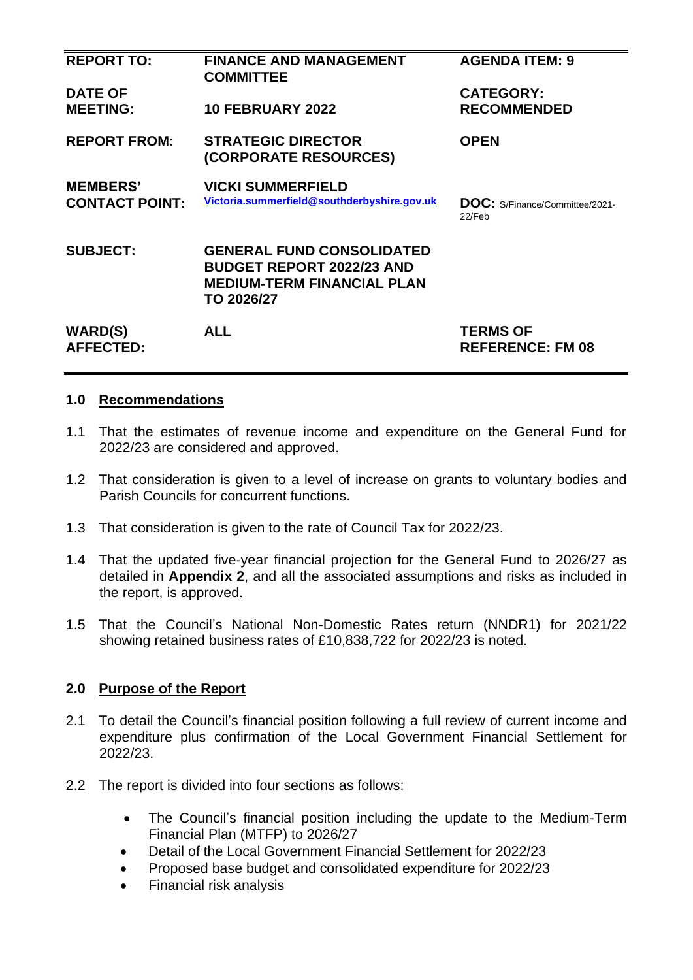| <b>REPORT TO:</b>                  | <b>FINANCE AND MANAGEMENT</b><br><b>COMMITTEE</b>                                                                       | <b>AGENDA ITEM: 9</b>                      |
|------------------------------------|-------------------------------------------------------------------------------------------------------------------------|--------------------------------------------|
| <b>DATE OF</b>                     |                                                                                                                         | <b>CATEGORY:</b>                           |
| <b>MEETING:</b>                    | <b>10 FEBRUARY 2022</b>                                                                                                 | <b>RECOMMENDED</b>                         |
| <b>REPORT FROM:</b>                | <b>STRATEGIC DIRECTOR</b><br>(CORPORATE RESOURCES)                                                                      | <b>OPEN</b>                                |
| <b>MEMBERS'</b>                    | <b>VICKI SUMMERFIELD</b>                                                                                                |                                            |
| <b>CONTACT POINT:</b>              | Victoria.summerfield@southderbyshire.gov.uk                                                                             | DOC: S/Finance/Committee/2021-<br>22/Feb   |
| <b>SUBJECT:</b>                    | <b>GENERAL FUND CONSOLIDATED</b><br><b>BUDGET REPORT 2022/23 AND</b><br><b>MEDIUM-TERM FINANCIAL PLAN</b><br>TO 2026/27 |                                            |
| <b>WARD(S)</b><br><b>AFFECTED:</b> | <b>ALL</b>                                                                                                              | <b>TERMS OF</b><br><b>REFERENCE: FM 08</b> |

#### **1.0 Recommendations**

- 1.1 That the estimates of revenue income and expenditure on the General Fund for 2022/23 are considered and approved.
- 1.2 That consideration is given to a level of increase on grants to voluntary bodies and Parish Councils for concurrent functions.
- 1.3 That consideration is given to the rate of Council Tax for 2022/23.
- 1.4 That the updated five-year financial projection for the General Fund to 2026/27 as detailed in **Appendix 2**, and all the associated assumptions and risks as included in the report, is approved.
- 1.5 That the Council's National Non-Domestic Rates return (NNDR1) for 2021/22 showing retained business rates of £10,838,722 for 2022/23 is noted.

#### **2.0 Purpose of the Report**

- 2.1 To detail the Council's financial position following a full review of current income and expenditure plus confirmation of the Local Government Financial Settlement for 2022/23.
- 2.2 The report is divided into four sections as follows:
	- The Council's financial position including the update to the Medium-Term Financial Plan (MTFP) to 2026/27
	- Detail of the Local Government Financial Settlement for 2022/23
	- Proposed base budget and consolidated expenditure for 2022/23
	- Financial risk analysis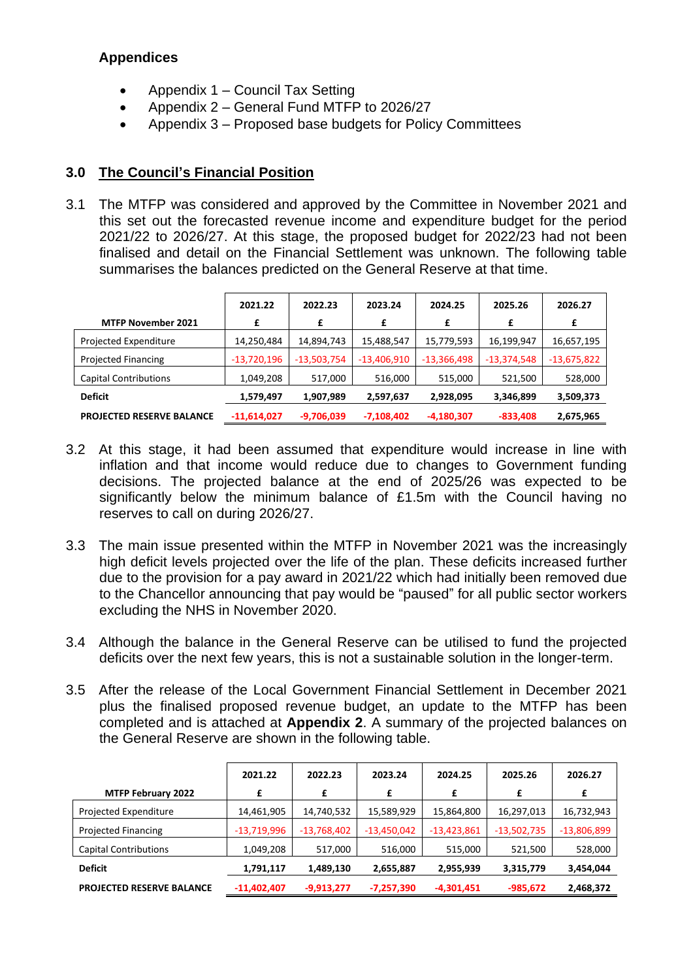## **Appendices**

- Appendix 1 Council Tax Setting
- Appendix 2 General Fund MTFP to 2026/27
- Appendix 3 Proposed base budgets for Policy Committees

## **3.0 The Council's Financial Position**

3.1 The MTFP was considered and approved by the Committee in November 2021 and this set out the forecasted revenue income and expenditure budget for the period 2021/22 to 2026/27. At this stage, the proposed budget for 2022/23 had not been finalised and detail on the Financial Settlement was unknown. The following table summarises the balances predicted on the General Reserve at that time.

|                                  | 2021.22       | 2022.23       | 2023.24       | 2024.25       | 2025.26       | 2026.27       |
|----------------------------------|---------------|---------------|---------------|---------------|---------------|---------------|
| <b>MTFP November 2021</b>        | £             | £             | £             | £             | £             | £             |
| Projected Expenditure            | 14,250,484    | 14,894,743    | 15,488,547    | 15,779,593    | 16,199,947    | 16,657,195    |
| <b>Projected Financing</b>       | $-13,720,196$ | $-13,503,754$ | $-13,406,910$ | $-13,366,498$ | $-13,374,548$ | $-13,675,822$ |
| <b>Capital Contributions</b>     | 1,049,208     | 517,000       | 516,000       | 515,000       | 521,500       | 528,000       |
| <b>Deficit</b>                   | 1,579,497     | 1,907,989     | 2,597,637     | 2,928,095     | 3,346,899     | 3,509,373     |
| <b>PROJECTED RESERVE BALANCE</b> | $-11,614,027$ | $-9,706,039$  | $-7,108,402$  | $-4,180,307$  | $-833,408$    | 2,675,965     |

- 3.2 At this stage, it had been assumed that expenditure would increase in line with inflation and that income would reduce due to changes to Government funding decisions. The projected balance at the end of 2025/26 was expected to be significantly below the minimum balance of £1.5m with the Council having no reserves to call on during 2026/27.
- 3.3 The main issue presented within the MTFP in November 2021 was the increasingly high deficit levels projected over the life of the plan. These deficits increased further due to the provision for a pay award in 2021/22 which had initially been removed due to the Chancellor announcing that pay would be "paused" for all public sector workers excluding the NHS in November 2020.
- 3.4 Although the balance in the General Reserve can be utilised to fund the projected deficits over the next few years, this is not a sustainable solution in the longer-term.
- 3.5 After the release of the Local Government Financial Settlement in December 2021 plus the finalised proposed revenue budget, an update to the MTFP has been completed and is attached at **Appendix 2**. A summary of the projected balances on the General Reserve are shown in the following table.

|                                  | 2021.22       | 2022.23       | 2023.24       | 2024.25       | 2025.26       | 2026.27       |
|----------------------------------|---------------|---------------|---------------|---------------|---------------|---------------|
| <b>MTFP February 2022</b>        | £             | £             | £             | £             | £             | £             |
| Projected Expenditure            | 14,461,905    | 14,740,532    | 15,589,929    | 15,864,800    | 16,297,013    | 16,732,943    |
| <b>Projected Financing</b>       | $-13,719,996$ | $-13,768,402$ | $-13,450,042$ | $-13,423,861$ | $-13,502,735$ | $-13,806,899$ |
| <b>Capital Contributions</b>     | 1,049,208     | 517,000       | 516,000       | 515,000       | 521,500       | 528,000       |
| <b>Deficit</b>                   | 1,791,117     | 1,489,130     | 2,655,887     | 2,955,939     | 3,315,779     | 3,454,044     |
| <b>PROJECTED RESERVE BALANCE</b> | $-11,402,407$ | $-9,913,277$  | $-7,257,390$  | $-4,301,451$  | $-985,672$    | 2,468,372     |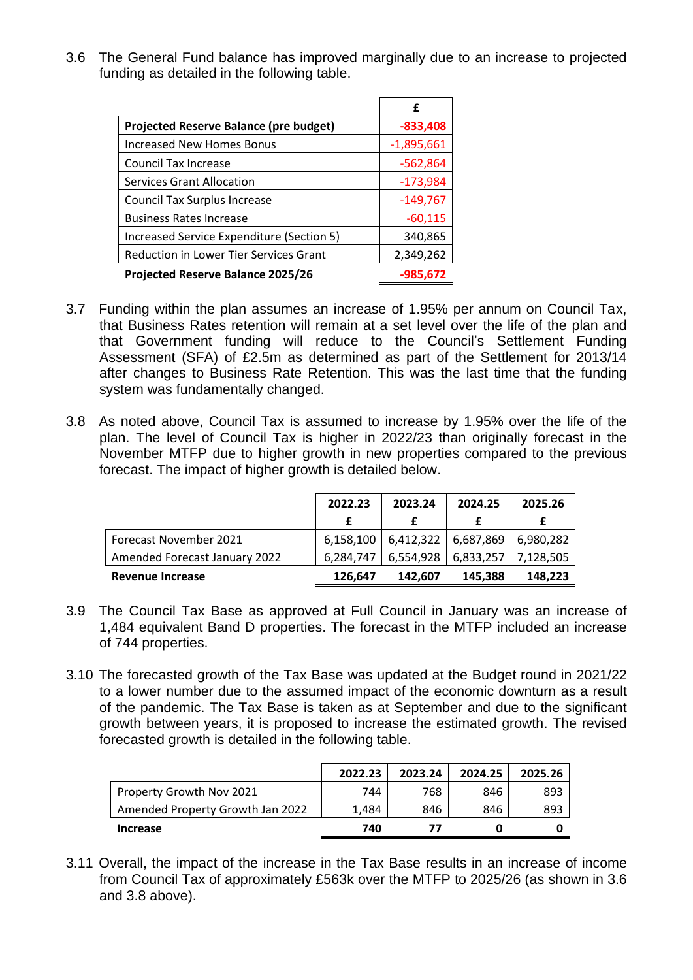3.6 The General Fund balance has improved marginally due to an increase to projected funding as detailed in the following table.

|                                               | £            |
|-----------------------------------------------|--------------|
| <b>Projected Reserve Balance (pre budget)</b> | $-833,408$   |
| <b>Increased New Homes Bonus</b>              | $-1,895,661$ |
| <b>Council Tax Increase</b>                   | $-562,864$   |
| <b>Services Grant Allocation</b>              | $-173,984$   |
| <b>Council Tax Surplus Increase</b>           | $-149,767$   |
| <b>Business Rates Increase</b>                | $-60,115$    |
| Increased Service Expenditure (Section 5)     | 340,865      |
| Reduction in Lower Tier Services Grant        | 2,349,262    |
| <b>Projected Reserve Balance 2025/26</b>      | $-985,672$   |

- 3.7 Funding within the plan assumes an increase of 1.95% per annum on Council Tax, that Business Rates retention will remain at a set level over the life of the plan and that Government funding will reduce to the Council's Settlement Funding Assessment (SFA) of £2.5m as determined as part of the Settlement for 2013/14 after changes to Business Rate Retention. This was the last time that the funding system was fundamentally changed.
- 3.8 As noted above, Council Tax is assumed to increase by 1.95% over the life of the plan. The level of Council Tax is higher in 2022/23 than originally forecast in the November MTFP due to higher growth in new properties compared to the previous forecast. The impact of higher growth is detailed below.

|                                      | 2022.23   | 2023.24   | 2024.25                 | 2025.26   |
|--------------------------------------|-----------|-----------|-------------------------|-----------|
|                                      |           |           |                         |           |
| Forecast November 2021               | 6,158,100 | 6,412,322 | 6,687,869               | 6,980,282 |
| <b>Amended Forecast January 2022</b> | 6.284.747 | 6,554,928 | $6,833,257$   7,128,505 |           |
| Revenue Increase                     | 126,647   | 142.607   | 145,388                 | 148.223   |

- 3.9 The Council Tax Base as approved at Full Council in January was an increase of 1,484 equivalent Band D properties. The forecast in the MTFP included an increase of 744 properties.
- 3.10 The forecasted growth of the Tax Base was updated at the Budget round in 2021/22 to a lower number due to the assumed impact of the economic downturn as a result of the pandemic. The Tax Base is taken as at September and due to the significant growth between years, it is proposed to increase the estimated growth. The revised forecasted growth is detailed in the following table.

|                                  | 2022.23 | 2023.24 | 2024.25 | 2025.26 |
|----------------------------------|---------|---------|---------|---------|
| Property Growth Nov 2021         | 744     | 768     | 846     | 893     |
| Amended Property Growth Jan 2022 | 1.484   | 846     | 846     | 893     |
| Increase                         | 740     | 77      |         |         |

3.11 Overall, the impact of the increase in the Tax Base results in an increase of income from Council Tax of approximately £563k over the MTFP to 2025/26 (as shown in 3.6 and 3.8 above).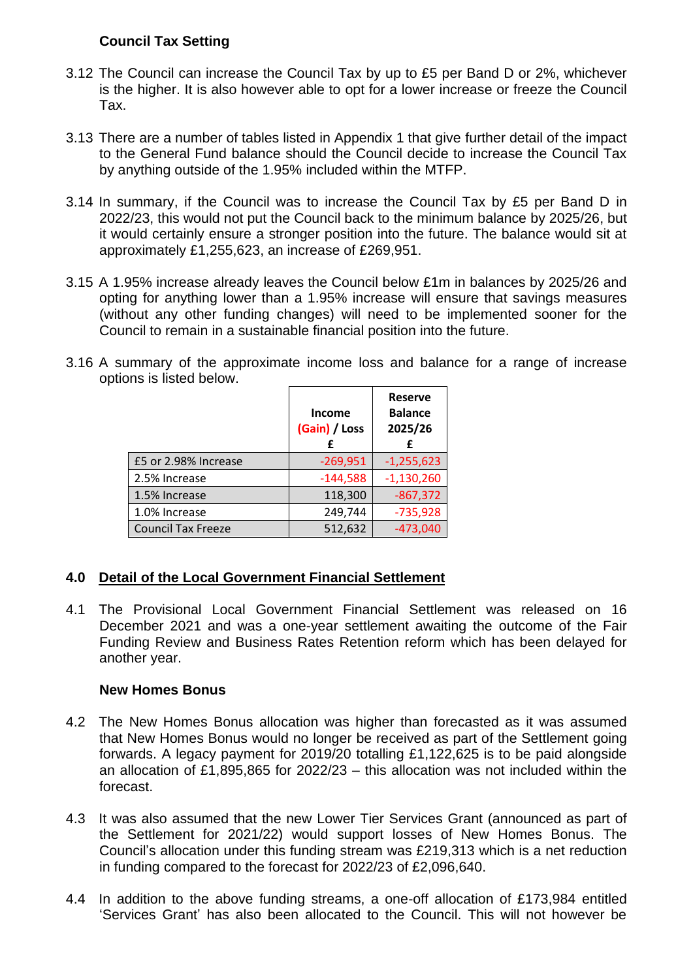## **Council Tax Setting**

- 3.12 The Council can increase the Council Tax by up to £5 per Band D or 2%, whichever is the higher. It is also however able to opt for a lower increase or freeze the Council Tax.
- 3.13 There are a number of tables listed in Appendix 1 that give further detail of the impact to the General Fund balance should the Council decide to increase the Council Tax by anything outside of the 1.95% included within the MTFP.
- 3.14 In summary, if the Council was to increase the Council Tax by £5 per Band D in 2022/23, this would not put the Council back to the minimum balance by 2025/26, but it would certainly ensure a stronger position into the future. The balance would sit at approximately £1,255,623, an increase of £269,951.
- 3.15 A 1.95% increase already leaves the Council below £1m in balances by 2025/26 and opting for anything lower than a 1.95% increase will ensure that savings measures (without any other funding changes) will need to be implemented sooner for the Council to remain in a sustainable financial position into the future.
- 3.16 A summary of the approximate income loss and balance for a range of increase options is listed below.

|                           | <b>Income</b><br>(Gain) / Loss<br>f | <b>Reserve</b><br><b>Balance</b><br>2025/26<br>£ |
|---------------------------|-------------------------------------|--------------------------------------------------|
| £5 or 2.98% Increase      | $-269,951$                          | $-1,255,623$                                     |
| 2.5% Increase             | $-144,588$                          | $-1,130,260$                                     |
| 1.5% Increase             | 118,300                             | $-867,372$                                       |
| 1.0% Increase             | 249,744                             | $-735,928$                                       |
| <b>Council Tax Freeze</b> | 512,632                             | $-473,040$                                       |

## **4.0 Detail of the Local Government Financial Settlement**

4.1 The Provisional Local Government Financial Settlement was released on 16 December 2021 and was a one-year settlement awaiting the outcome of the Fair Funding Review and Business Rates Retention reform which has been delayed for another year.

#### **New Homes Bonus**

- 4.2 The New Homes Bonus allocation was higher than forecasted as it was assumed that New Homes Bonus would no longer be received as part of the Settlement going forwards. A legacy payment for 2019/20 totalling £1,122,625 is to be paid alongside an allocation of £1,895,865 for 2022/23 – this allocation was not included within the forecast.
- 4.3 It was also assumed that the new Lower Tier Services Grant (announced as part of the Settlement for 2021/22) would support losses of New Homes Bonus. The Council's allocation under this funding stream was £219,313 which is a net reduction in funding compared to the forecast for 2022/23 of £2,096,640.
- 4.4 In addition to the above funding streams, a one-off allocation of £173,984 entitled 'Services Grant' has also been allocated to the Council. This will not however be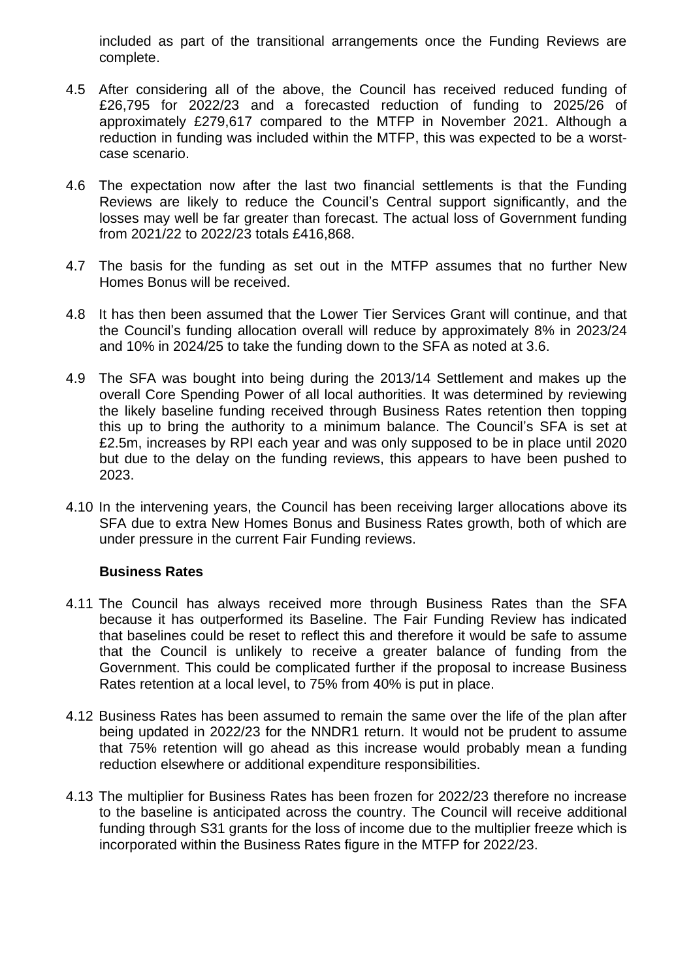included as part of the transitional arrangements once the Funding Reviews are complete.

- 4.5 After considering all of the above, the Council has received reduced funding of £26,795 for 2022/23 and a forecasted reduction of funding to 2025/26 of approximately £279,617 compared to the MTFP in November 2021. Although a reduction in funding was included within the MTFP, this was expected to be a worstcase scenario.
- 4.6 The expectation now after the last two financial settlements is that the Funding Reviews are likely to reduce the Council's Central support significantly, and the losses may well be far greater than forecast. The actual loss of Government funding from 2021/22 to 2022/23 totals £416,868.
- 4.7 The basis for the funding as set out in the MTFP assumes that no further New Homes Bonus will be received.
- 4.8 It has then been assumed that the Lower Tier Services Grant will continue, and that the Council's funding allocation overall will reduce by approximately 8% in 2023/24 and 10% in 2024/25 to take the funding down to the SFA as noted at 3.6.
- 4.9 The SFA was bought into being during the 2013/14 Settlement and makes up the overall Core Spending Power of all local authorities. It was determined by reviewing the likely baseline funding received through Business Rates retention then topping this up to bring the authority to a minimum balance. The Council's SFA is set at £2.5m, increases by RPI each year and was only supposed to be in place until 2020 but due to the delay on the funding reviews, this appears to have been pushed to 2023.
- 4.10 In the intervening years, the Council has been receiving larger allocations above its SFA due to extra New Homes Bonus and Business Rates growth, both of which are under pressure in the current Fair Funding reviews.

#### **Business Rates**

- 4.11 The Council has always received more through Business Rates than the SFA because it has outperformed its Baseline. The Fair Funding Review has indicated that baselines could be reset to reflect this and therefore it would be safe to assume that the Council is unlikely to receive a greater balance of funding from the Government. This could be complicated further if the proposal to increase Business Rates retention at a local level, to 75% from 40% is put in place.
- 4.12 Business Rates has been assumed to remain the same over the life of the plan after being updated in 2022/23 for the NNDR1 return. It would not be prudent to assume that 75% retention will go ahead as this increase would probably mean a funding reduction elsewhere or additional expenditure responsibilities.
- 4.13 The multiplier for Business Rates has been frozen for 2022/23 therefore no increase to the baseline is anticipated across the country. The Council will receive additional funding through S31 grants for the loss of income due to the multiplier freeze which is incorporated within the Business Rates figure in the MTFP for 2022/23.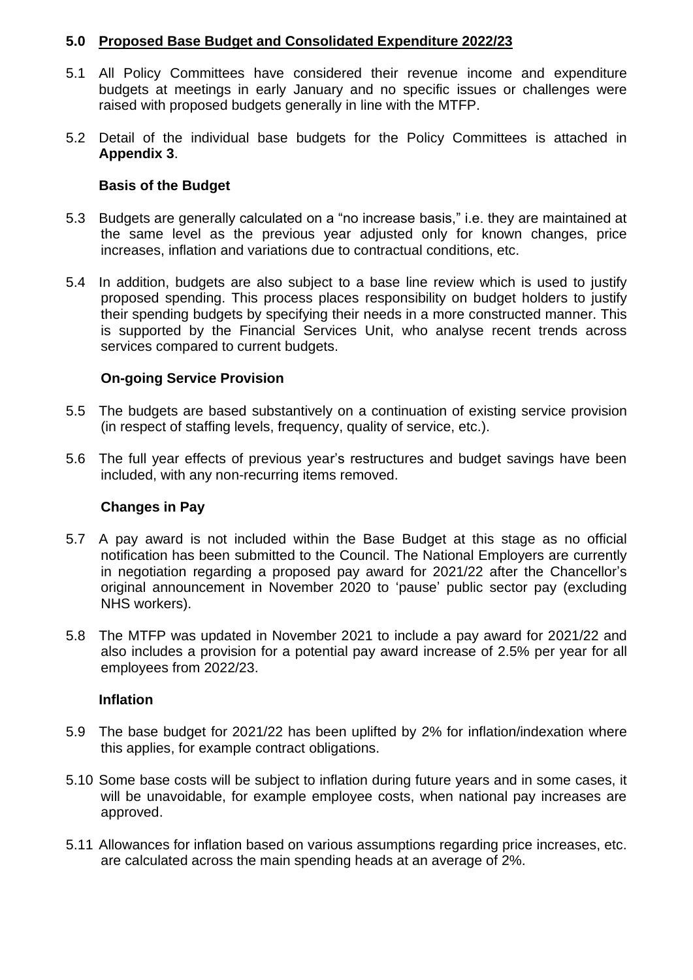#### **5.0 Proposed Base Budget and Consolidated Expenditure 2022/23**

- 5.1 All Policy Committees have considered their revenue income and expenditure budgets at meetings in early January and no specific issues or challenges were raised with proposed budgets generally in line with the MTFP.
- 5.2 Detail of the individual base budgets for the Policy Committees is attached in **Appendix 3**.

## **Basis of the Budget**

- 5.3 Budgets are generally calculated on a "no increase basis," i.e. they are maintained at the same level as the previous year adjusted only for known changes, price increases, inflation and variations due to contractual conditions, etc.
- 5.4 In addition, budgets are also subject to a base line review which is used to justify proposed spending. This process places responsibility on budget holders to justify their spending budgets by specifying their needs in a more constructed manner. This is supported by the Financial Services Unit, who analyse recent trends across services compared to current budgets.

## **On-going Service Provision**

- 5.5 The budgets are based substantively on a continuation of existing service provision (in respect of staffing levels, frequency, quality of service, etc.).
- 5.6 The full year effects of previous year's restructures and budget savings have been included, with any non-recurring items removed.

## **Changes in Pay**

- 5.7 A pay award is not included within the Base Budget at this stage as no official notification has been submitted to the Council. The National Employers are currently in negotiation regarding a proposed pay award for 2021/22 after the Chancellor's original announcement in November 2020 to 'pause' public sector pay (excluding NHS workers).
- 5.8 The MTFP was updated in November 2021 to include a pay award for 2021/22 and also includes a provision for a potential pay award increase of 2.5% per year for all employees from 2022/23.

#### **Inflation**

- 5.9 The base budget for 2021/22 has been uplifted by 2% for inflation/indexation where this applies, for example contract obligations.
- 5.10 Some base costs will be subject to inflation during future years and in some cases, it will be unavoidable, for example employee costs, when national pay increases are approved.
- 5.11 Allowances for inflation based on various assumptions regarding price increases, etc. are calculated across the main spending heads at an average of 2%.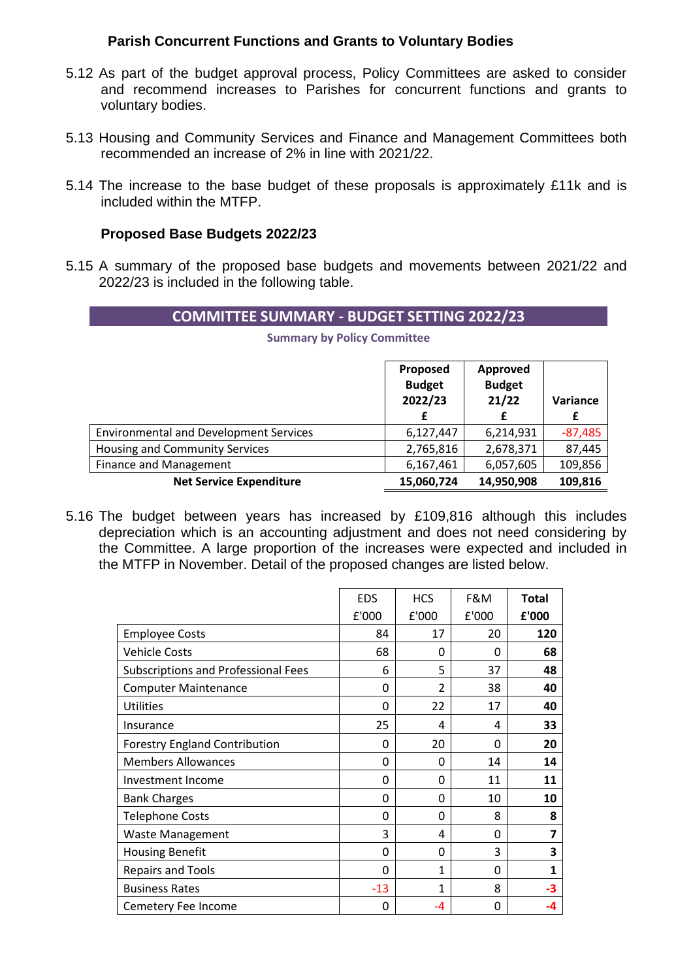#### **Parish Concurrent Functions and Grants to Voluntary Bodies**

- 5.12 As part of the budget approval process, Policy Committees are asked to consider and recommend increases to Parishes for concurrent functions and grants to voluntary bodies.
- 5.13 Housing and Community Services and Finance and Management Committees both recommended an increase of 2% in line with 2021/22.
- 5.14 The increase to the base budget of these proposals is approximately £11k and is included within the MTFP.

#### **Proposed Base Budgets 2022/23**

5.15 A summary of the proposed base budgets and movements between 2021/22 and 2022/23 is included in the following table.

#### **COMMITTEE SUMMARY - BUDGET SETTING 2022/23**

**Summary by Policy Committee**

|                                               | Proposed<br><b>Budget</b><br>2022/23 | Approved<br><b>Budget</b><br>21/22<br>£ | Variance<br>£ |
|-----------------------------------------------|--------------------------------------|-----------------------------------------|---------------|
| <b>Environmental and Development Services</b> | 6,127,447                            | 6,214,931                               | $-87,485$     |
| <b>Housing and Community Services</b>         | 2,765,816                            | 2,678,371                               | 87,445        |
| Finance and Management                        | 6,167,461                            | 6,057,605                               | 109,856       |
| <b>Net Service Expenditure</b>                | 15,060,724                           | 14,950,908                              | 109,816       |

5.16 The budget between years has increased by £109,816 although this includes depreciation which is an accounting adjustment and does not need considering by the Committee. A large proportion of the increases were expected and included in the MTFP in November. Detail of the proposed changes are listed below.

|                                            | <b>EDS</b> | <b>HCS</b>     | F&M   | <b>Total</b> |
|--------------------------------------------|------------|----------------|-------|--------------|
|                                            | £'000      | £'000          | £'000 | £'000        |
| <b>Employee Costs</b>                      | 84         | 17             | 20    | 120          |
| <b>Vehicle Costs</b>                       | 68         | 0              | 0     | 68           |
| <b>Subscriptions and Professional Fees</b> | 6          | 5              | 37    | 48           |
| <b>Computer Maintenance</b>                | 0          | $\mathfrak{p}$ | 38    | 40           |
| <b>Utilities</b>                           | 0          | 22             | 17    | 40           |
| Insurance                                  | 25         | 4              | 4     | 33           |
| <b>Forestry England Contribution</b>       | 0          | 20             | 0     | 20           |
| <b>Members Allowances</b>                  | 0          | 0              | 14    | 14           |
| Investment Income                          | 0          | 0              | 11    | 11           |
| <b>Bank Charges</b>                        | 0          | 0              | 10    | 10           |
| <b>Telephone Costs</b>                     | 0          | 0              | 8     | 8            |
| <b>Waste Management</b>                    | 3          | 4              | 0     | 7            |
| <b>Housing Benefit</b>                     | 0          | 0              | 3     | 3            |
| <b>Repairs and Tools</b>                   | 0          | 1              | 0     | 1            |
| <b>Business Rates</b>                      | $-13$      | 1              | 8     | -3           |
| Cemetery Fee Income                        | 0          | -4             | 0     | -4           |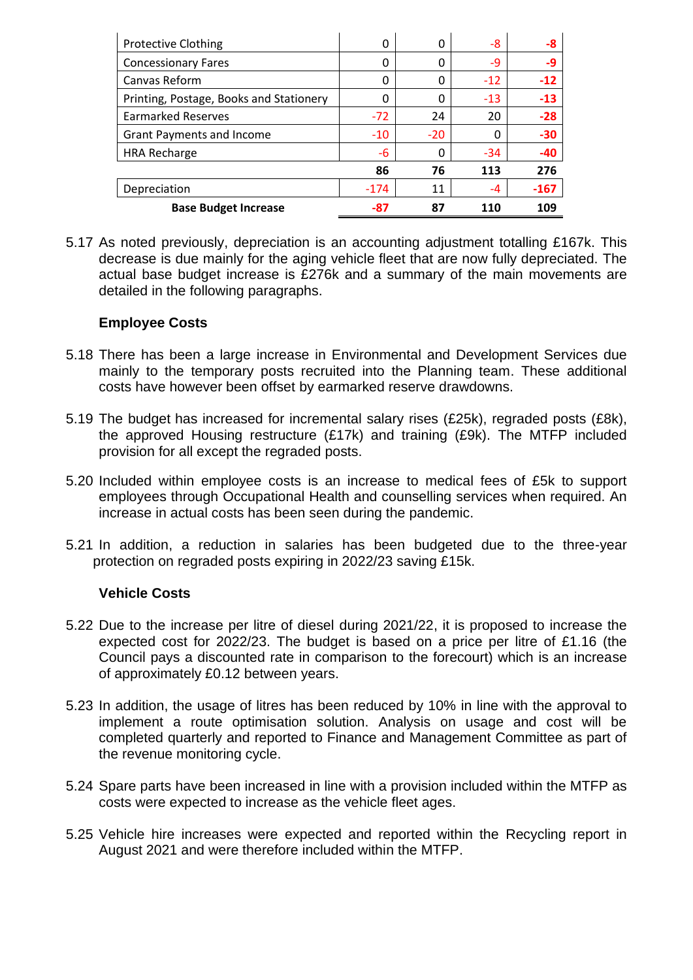| <b>Protective Clothing</b>              | 0      | 0     | -8    | -8     |
|-----------------------------------------|--------|-------|-------|--------|
| <b>Concessionary Fares</b>              | 0      | 0     | -9    | -9     |
| Canvas Reform                           | 0      | 0     | $-12$ | $-12$  |
| Printing, Postage, Books and Stationery | 0      | 0     | $-13$ | $-13$  |
| <b>Earmarked Reserves</b>               | $-72$  | 24    | 20    | $-28$  |
| <b>Grant Payments and Income</b>        | $-10$  | $-20$ | Ω     | $-30$  |
| <b>HRA Recharge</b>                     | -6     | 0     | $-34$ | $-40$  |
|                                         | 86     | 76    | 113   | 276    |
| Depreciation                            | $-174$ | 11    | -4    | $-167$ |
| <b>Base Budget Increase</b>             | -87    | 87    | 110   | 109    |

5.17 As noted previously, depreciation is an accounting adjustment totalling £167k. This decrease is due mainly for the aging vehicle fleet that are now fully depreciated. The actual base budget increase is £276k and a summary of the main movements are detailed in the following paragraphs.

## **Employee Costs**

- 5.18 There has been a large increase in Environmental and Development Services due mainly to the temporary posts recruited into the Planning team. These additional costs have however been offset by earmarked reserve drawdowns.
- 5.19 The budget has increased for incremental salary rises (£25k), regraded posts (£8k), the approved Housing restructure (£17k) and training (£9k). The MTFP included provision for all except the regraded posts.
- 5.20 Included within employee costs is an increase to medical fees of £5k to support employees through Occupational Health and counselling services when required. An increase in actual costs has been seen during the pandemic.
- 5.21 In addition, a reduction in salaries has been budgeted due to the three-year protection on regraded posts expiring in 2022/23 saving £15k.

#### **Vehicle Costs**

- 5.22 Due to the increase per litre of diesel during 2021/22, it is proposed to increase the expected cost for 2022/23. The budget is based on a price per litre of £1.16 (the Council pays a discounted rate in comparison to the forecourt) which is an increase of approximately £0.12 between years.
- 5.23 In addition, the usage of litres has been reduced by 10% in line with the approval to implement a route optimisation solution. Analysis on usage and cost will be completed quarterly and reported to Finance and Management Committee as part of the revenue monitoring cycle.
- 5.24 Spare parts have been increased in line with a provision included within the MTFP as costs were expected to increase as the vehicle fleet ages.
- 5.25 Vehicle hire increases were expected and reported within the Recycling report in August 2021 and were therefore included within the MTFP.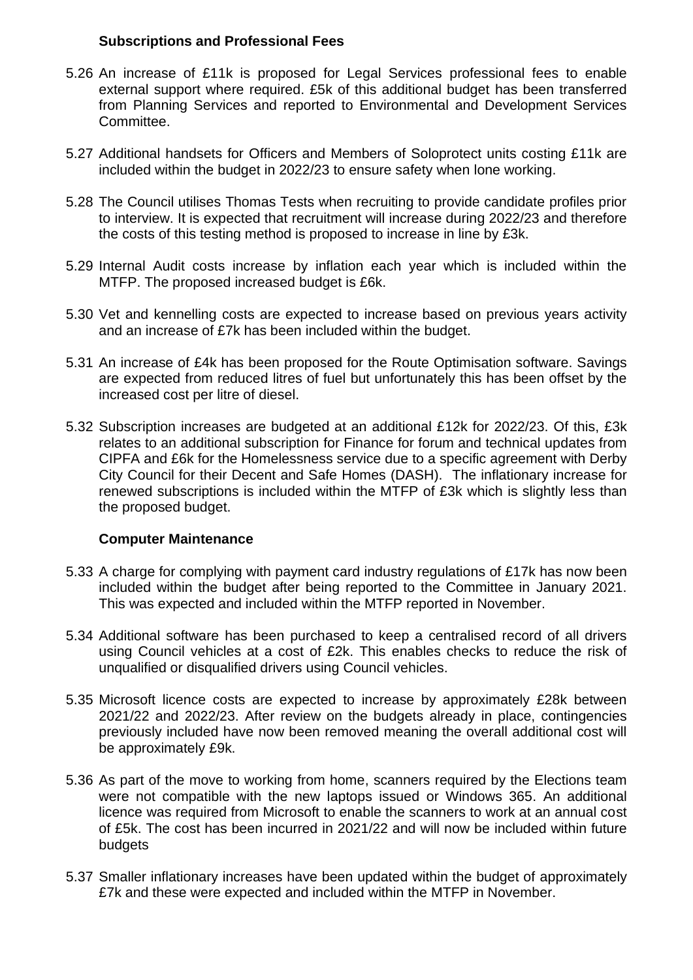#### **Subscriptions and Professional Fees**

- 5.26 An increase of £11k is proposed for Legal Services professional fees to enable external support where required. £5k of this additional budget has been transferred from Planning Services and reported to Environmental and Development Services Committee.
- 5.27 Additional handsets for Officers and Members of Soloprotect units costing £11k are included within the budget in 2022/23 to ensure safety when lone working.
- 5.28 The Council utilises Thomas Tests when recruiting to provide candidate profiles prior to interview. It is expected that recruitment will increase during 2022/23 and therefore the costs of this testing method is proposed to increase in line by £3k.
- 5.29 Internal Audit costs increase by inflation each year which is included within the MTFP. The proposed increased budget is £6k.
- 5.30 Vet and kennelling costs are expected to increase based on previous years activity and an increase of £7k has been included within the budget.
- 5.31 An increase of £4k has been proposed for the Route Optimisation software. Savings are expected from reduced litres of fuel but unfortunately this has been offset by the increased cost per litre of diesel.
- 5.32 Subscription increases are budgeted at an additional £12k for 2022/23. Of this, £3k relates to an additional subscription for Finance for forum and technical updates from CIPFA and £6k for the Homelessness service due to a specific agreement with Derby City Council for their Decent and Safe Homes (DASH). The inflationary increase for renewed subscriptions is included within the MTFP of £3k which is slightly less than the proposed budget.

#### **Computer Maintenance**

- 5.33 A charge for complying with payment card industry regulations of £17k has now been included within the budget after being reported to the Committee in January 2021. This was expected and included within the MTFP reported in November.
- 5.34 Additional software has been purchased to keep a centralised record of all drivers using Council vehicles at a cost of £2k. This enables checks to reduce the risk of unqualified or disqualified drivers using Council vehicles.
- 5.35 Microsoft licence costs are expected to increase by approximately £28k between 2021/22 and 2022/23. After review on the budgets already in place, contingencies previously included have now been removed meaning the overall additional cost will be approximately £9k.
- 5.36 As part of the move to working from home, scanners required by the Elections team were not compatible with the new laptops issued or Windows 365. An additional licence was required from Microsoft to enable the scanners to work at an annual cost of £5k. The cost has been incurred in 2021/22 and will now be included within future budgets
- 5.37 Smaller inflationary increases have been updated within the budget of approximately £7k and these were expected and included within the MTFP in November.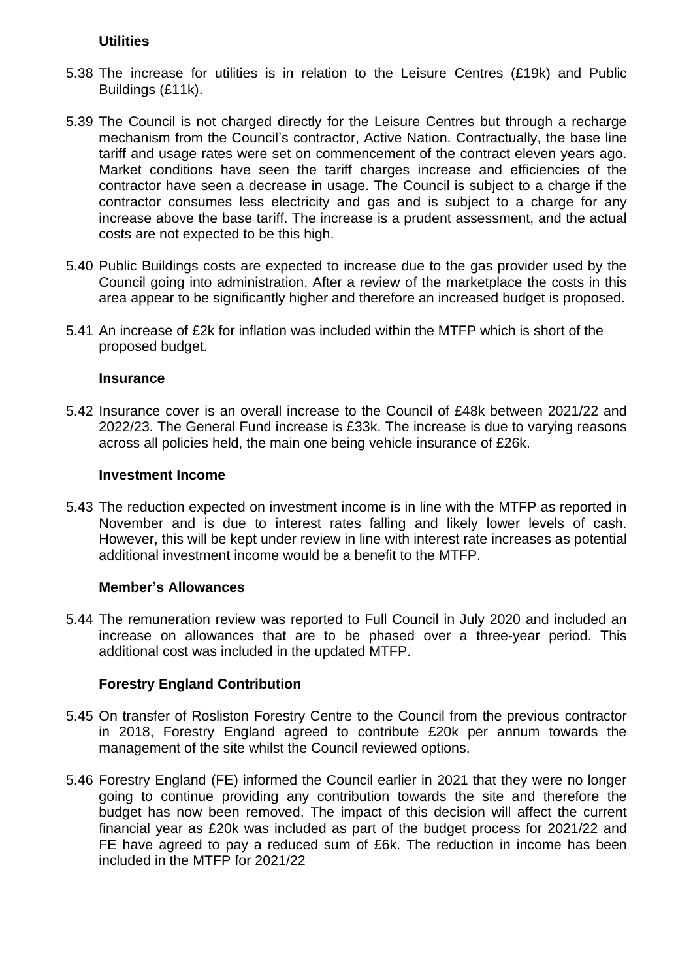#### **Utilities**

- 5.38 The increase for utilities is in relation to the Leisure Centres (£19k) and Public Buildings (£11k).
- 5.39 The Council is not charged directly for the Leisure Centres but through a recharge mechanism from the Council's contractor, Active Nation. Contractually, the base line tariff and usage rates were set on commencement of the contract eleven years ago. Market conditions have seen the tariff charges increase and efficiencies of the contractor have seen a decrease in usage. The Council is subject to a charge if the contractor consumes less electricity and gas and is subject to a charge for any increase above the base tariff. The increase is a prudent assessment, and the actual costs are not expected to be this high.
- 5.40 Public Buildings costs are expected to increase due to the gas provider used by the Council going into administration. After a review of the marketplace the costs in this area appear to be significantly higher and therefore an increased budget is proposed.
- 5.41 An increase of £2k for inflation was included within the MTFP which is short of the proposed budget.

#### **Insurance**

5.42 Insurance cover is an overall increase to the Council of £48k between 2021/22 and 2022/23. The General Fund increase is £33k. The increase is due to varying reasons across all policies held, the main one being vehicle insurance of £26k.

#### **Investment Income**

5.43 The reduction expected on investment income is in line with the MTFP as reported in November and is due to interest rates falling and likely lower levels of cash. However, this will be kept under review in line with interest rate increases as potential additional investment income would be a benefit to the MTFP.

#### **Member's Allowances**

5.44 The remuneration review was reported to Full Council in July 2020 and included an increase on allowances that are to be phased over a three-year period. This additional cost was included in the updated MTFP.

#### **Forestry England Contribution**

- 5.45 On transfer of Rosliston Forestry Centre to the Council from the previous contractor in 2018, Forestry England agreed to contribute £20k per annum towards the management of the site whilst the Council reviewed options.
- 5.46 Forestry England (FE) informed the Council earlier in 2021 that they were no longer going to continue providing any contribution towards the site and therefore the budget has now been removed. The impact of this decision will affect the current financial year as £20k was included as part of the budget process for 2021/22 and FE have agreed to pay a reduced sum of £6k. The reduction in income has been included in the MTFP for 2021/22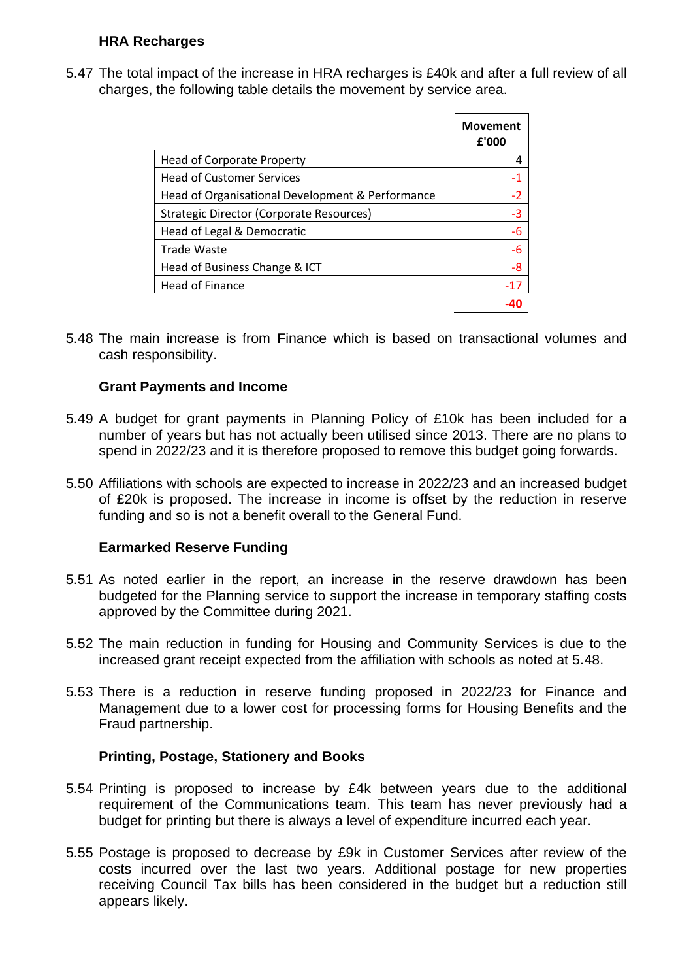### **HRA Recharges**

5.47 The total impact of the increase in HRA recharges is £40k and after a full review of all charges, the following table details the movement by service area.

|                                                  | <b>Movement</b><br>£'000 |
|--------------------------------------------------|--------------------------|
| <b>Head of Corporate Property</b>                | 4                        |
| <b>Head of Customer Services</b>                 | -1                       |
| Head of Organisational Development & Performance | $-2$                     |
| Strategic Director (Corporate Resources)         | $-3$                     |
| Head of Legal & Democratic                       | $-6$                     |
| <b>Trade Waste</b>                               | -6                       |
| Head of Business Change & ICT                    | -8                       |
| Head of Finance                                  | $-17$                    |
|                                                  |                          |

5.48 The main increase is from Finance which is based on transactional volumes and cash responsibility.

#### **Grant Payments and Income**

- 5.49 A budget for grant payments in Planning Policy of £10k has been included for a number of years but has not actually been utilised since 2013. There are no plans to spend in 2022/23 and it is therefore proposed to remove this budget going forwards.
- 5.50 Affiliations with schools are expected to increase in 2022/23 and an increased budget of £20k is proposed. The increase in income is offset by the reduction in reserve funding and so is not a benefit overall to the General Fund.

#### **Earmarked Reserve Funding**

- 5.51 As noted earlier in the report, an increase in the reserve drawdown has been budgeted for the Planning service to support the increase in temporary staffing costs approved by the Committee during 2021.
- 5.52 The main reduction in funding for Housing and Community Services is due to the increased grant receipt expected from the affiliation with schools as noted at 5.48.
- 5.53 There is a reduction in reserve funding proposed in 2022/23 for Finance and Management due to a lower cost for processing forms for Housing Benefits and the Fraud partnership.

#### **Printing, Postage, Stationery and Books**

- 5.54 Printing is proposed to increase by £4k between years due to the additional requirement of the Communications team. This team has never previously had a budget for printing but there is always a level of expenditure incurred each year.
- 5.55 Postage is proposed to decrease by £9k in Customer Services after review of the costs incurred over the last two years. Additional postage for new properties receiving Council Tax bills has been considered in the budget but a reduction still appears likely.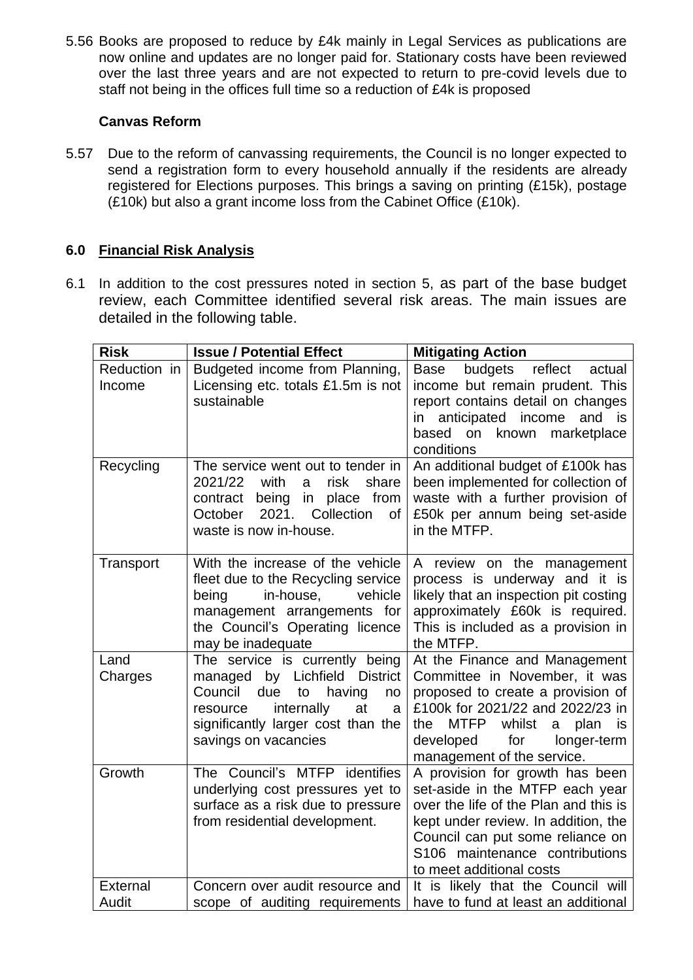5.56 Books are proposed to reduce by £4k mainly in Legal Services as publications are now online and updates are no longer paid for. Stationary costs have been reviewed over the last three years and are not expected to return to pre-covid levels due to staff not being in the offices full time so a reduction of £4k is proposed

### **Canvas Reform**

5.57 Due to the reform of canvassing requirements, the Council is no longer expected to send a registration form to every household annually if the residents are already registered for Elections purposes. This brings a saving on printing (£15k), postage (£10k) but also a grant income loss from the Cabinet Office (£10k).

## **6.0 Financial Risk Analysis**

6.1 In addition to the cost pressures noted in section 5, as part of the base budget review, each Committee identified several risk areas. The main issues are detailed in the following table.

| <b>Risk</b>            | <b>Issue / Potential Effect</b>                                                                                                                                                                            | <b>Mitigating Action</b>                                                                                                                                                                                                                                    |
|------------------------|------------------------------------------------------------------------------------------------------------------------------------------------------------------------------------------------------------|-------------------------------------------------------------------------------------------------------------------------------------------------------------------------------------------------------------------------------------------------------------|
| Reduction in<br>Income | Budgeted income from Planning,<br>Licensing etc. totals £1.5m is not<br>sustainable                                                                                                                        | budgets reflect<br>Base<br>actual<br>income but remain prudent. This<br>report contains detail on changes<br>anticipated income<br>and is<br>in<br>marketplace<br>based<br>on<br>known<br>conditions                                                        |
| Recycling              | The service went out to tender in<br>2021/22<br>with<br>risk<br>share<br>a<br>being<br>in place from<br>contract<br>2021.<br>Collection<br>October<br>0f<br>waste is now in-house.                         | An additional budget of £100k has<br>been implemented for collection of<br>waste with a further provision of<br>£50k per annum being set-aside<br>in the MTFP.                                                                                              |
| Transport              | With the increase of the vehicle<br>fleet due to the Recycling service<br>vehicle<br>being<br>in-house,<br>management arrangements for<br>the Council's Operating licence<br>may be inadequate             | A review on the management<br>process is underway and it is<br>likely that an inspection pit costing<br>approximately £60k is required.<br>This is included as a provision in<br>the MTFP.                                                                  |
| Land<br>Charges        | The service is currently being<br>managed by Lichfield District<br>Council<br>due<br>having<br>to<br>no<br>internally<br>at<br>resource<br>a<br>significantly larger cost than the<br>savings on vacancies | At the Finance and Management<br>Committee in November, it was<br>proposed to create a provision of<br>£100k for 2021/22 and 2022/23 in<br><b>MTFP</b><br>whilst<br>plan<br>the<br>a<br>is<br>developed<br>for<br>longer-term<br>management of the service. |
| Growth                 | The Council's MTFP identifies<br>underlying cost pressures yet to<br>surface as a risk due to pressure<br>from residential development.                                                                    | A provision for growth has been<br>set-aside in the MTFP each year<br>over the life of the Plan and this is<br>kept under review. In addition, the<br>Council can put some reliance on<br>S106 maintenance contributions<br>to meet additional costs        |
| External               | Concern over audit resource and                                                                                                                                                                            | It is likely that the Council will                                                                                                                                                                                                                          |
| Audit                  | scope of auditing requirements                                                                                                                                                                             | have to fund at least an additional                                                                                                                                                                                                                         |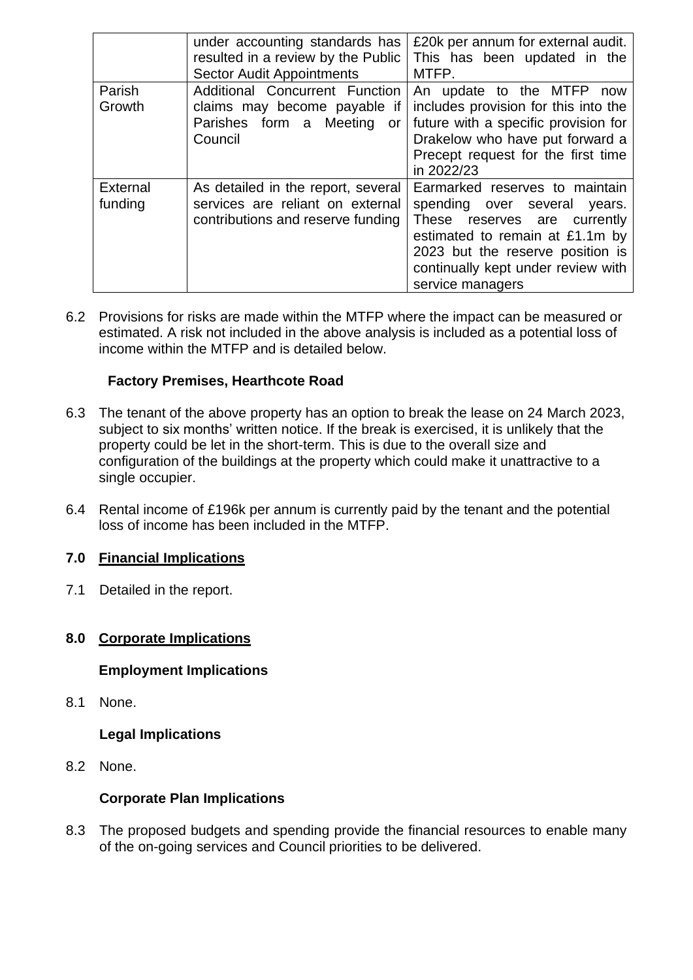|                     | under accounting standards has<br>resulted in a review by the Public<br><b>Sector Audit Appointments</b>     | £20k per annum for external audit.<br>This has been updated in the<br>MTFP.                                                                                                                                                           |
|---------------------|--------------------------------------------------------------------------------------------------------------|---------------------------------------------------------------------------------------------------------------------------------------------------------------------------------------------------------------------------------------|
| Parish<br>Growth    | Additional Concurrent Function<br>claims may become payable if<br>Parishes form a Meeting<br>or -<br>Council | An update to the MTFP<br>now<br>includes provision for this into the<br>future with a specific provision for<br>Drakelow who have put forward a<br>Precept request for the first time<br>in 2022/23                                   |
| External<br>funding | As detailed in the report, several<br>services are reliant on external<br>contributions and reserve funding  | Earmarked reserves to maintain<br>spending over several<br>years.<br>These reserves are<br>currently<br>estimated to remain at £1.1m by<br>2023 but the reserve position is<br>continually kept under review with<br>service managers |

6.2 Provisions for risks are made within the MTFP where the impact can be measured or estimated. A risk not included in the above analysis is included as a potential loss of income within the MTFP and is detailed below.

## **Factory Premises, Hearthcote Road**

- 6.3 The tenant of the above property has an option to break the lease on 24 March 2023, subject to six months' written notice. If the break is exercised, it is unlikely that the property could be let in the short-term. This is due to the overall size and configuration of the buildings at the property which could make it unattractive to a single occupier.
- 6.4 Rental income of £196k per annum is currently paid by the tenant and the potential loss of income has been included in the MTFP.

#### **7.0 Financial Implications**

7.1 Detailed in the report.

#### **8.0 Corporate Implications**

#### **Employment Implications**

8.1 None.

**Legal Implications**

8.2 None.

## **Corporate Plan Implications**

8.3 The proposed budgets and spending provide the financial resources to enable many of the on-going services and Council priorities to be delivered.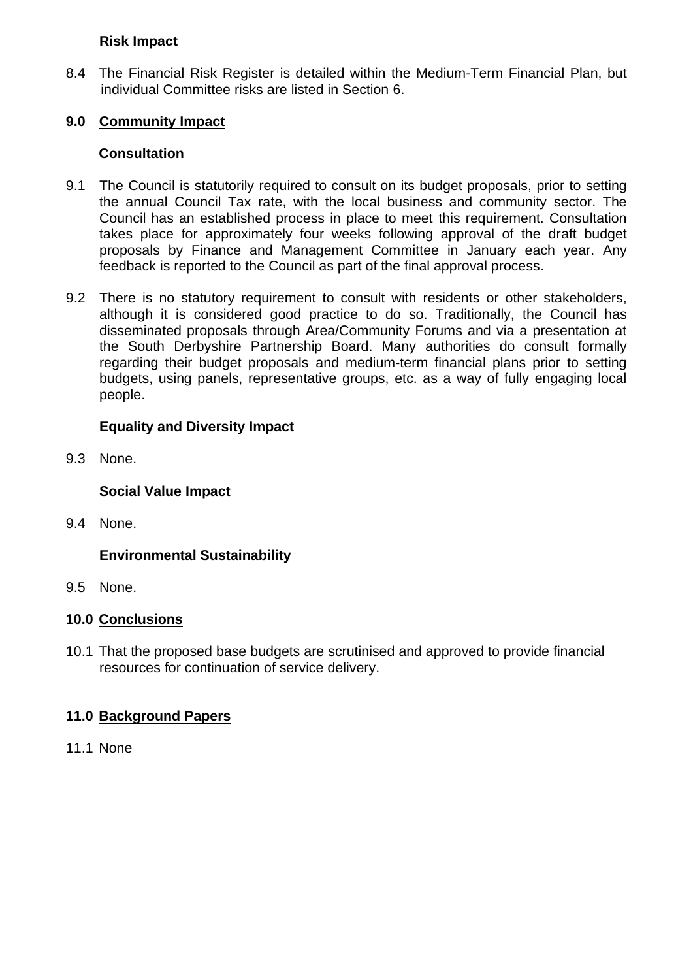### **Risk Impact**

8.4 The Financial Risk Register is detailed within the Medium-Term Financial Plan, but individual Committee risks are listed in Section 6.

## **9.0 Community Impact**

#### **Consultation**

- 9.1 The Council is statutorily required to consult on its budget proposals, prior to setting the annual Council Tax rate, with the local business and community sector. The Council has an established process in place to meet this requirement. Consultation takes place for approximately four weeks following approval of the draft budget proposals by Finance and Management Committee in January each year. Any feedback is reported to the Council as part of the final approval process.
- 9.2 There is no statutory requirement to consult with residents or other stakeholders, although it is considered good practice to do so. Traditionally, the Council has disseminated proposals through Area/Community Forums and via a presentation at the South Derbyshire Partnership Board. Many authorities do consult formally regarding their budget proposals and medium-term financial plans prior to setting budgets, using panels, representative groups, etc. as a way of fully engaging local people.

## **Equality and Diversity Impact**

9.3 None.

**Social Value Impact**

9.4 None.

## **Environmental Sustainability**

9.5 None.

#### **10.0 Conclusions**

10.1 That the proposed base budgets are scrutinised and approved to provide financial resources for continuation of service delivery.

#### **11.0 Background Papers**

11.1 None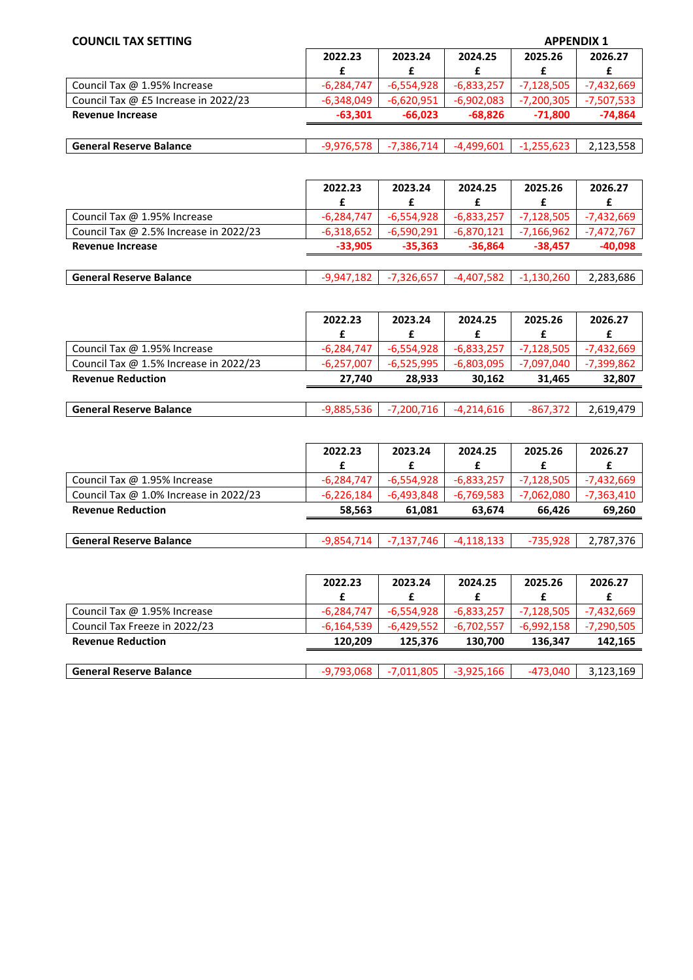#### **COUNCIL TAX SETTING APPENDIX 1**

| <u>coonte i avec i ilito</u>         |              | ALL-LIVED 1  |              |              |              |
|--------------------------------------|--------------|--------------|--------------|--------------|--------------|
|                                      | 2022.23      | 2023.24      | 2024.25      | 2025.26      | 2026.27      |
|                                      |              |              |              |              |              |
| Council Tax @ 1.95% Increase         | $-6.284.747$ | $-6.554.928$ | $-6.833.257$ | $-7.128.505$ | $-7.432.669$ |
| Council Tax @ £5 Increase in 2022/23 | $-6.348.049$ | $-6.620.951$ | $-6.902.083$ | $-7.200.305$ | $-7.507.533$ |
| <b>Revenue Increase</b>              | $-63.301$    | $-66.023$    | $-68.826$    | $-71.800$    | $-74.864$    |
|                                      |              |              |              |              |              |

| $\sim$<br>ה ה<br>ю<br><b>General Reserve Balance</b><br>,,,,<br>$\overline{\phantom{a}}$<br>.nu<br>ייטר.<br>2.123.330 |
|-----------------------------------------------------------------------------------------------------------------------|
|-----------------------------------------------------------------------------------------------------------------------|

|                                        | 2022.23      | 2023.24      | 2024.25      | 2025.26      | 2026.27      |
|----------------------------------------|--------------|--------------|--------------|--------------|--------------|
|                                        | £            |              |              |              |              |
| Council Tax @ 1.95% Increase           | $-6,284,747$ | $-6,554,928$ | $-6,833,257$ | $-7,128,505$ | $-7,432,669$ |
| Council Tax @ 2.5% Increase in 2022/23 | $-6,318,652$ | $-6,590,291$ | $-6,870,121$ | $-7,166,962$ | $-7,472,767$ |
| <b>Revenue Increase</b>                | $-33.905$    | $-35.363$    | $-36.864$    | $-38.457$    | $-40.098$    |
|                                        |              |              |              |              |              |
| <b>General Reserve Balance</b>         | $-9,947,182$ | $-7,326,657$ | $-4,407,582$ | $-1,130,260$ | 2,283,686    |

|                                        | 2022.23      | 2023.24      | 2024.25      | 2025.26    | 2026.27    |
|----------------------------------------|--------------|--------------|--------------|------------|------------|
|                                        |              |              |              |            |            |
| Council Tax @ 1.95% Increase           | $-6.284.747$ | $-6.554.928$ | $-6.833.257$ | -7.128.505 | -7.432.669 |
| Council Tax @ 1.5% Increase in 2022/23 | $-6.257.007$ | $-6.525.995$ | $-6.803.095$ | -7.097.040 | -7,399,862 |
| <b>Revenue Reduction</b>               | 27.740       | 28.933       | 30.162       | 31.465     | 32.807     |

| <b>General Reserve Balance</b> | -9.885.536 L |  | $-7,200,716$ $-4,214,616$ | -867,372 | 2,619,479 |
|--------------------------------|--------------|--|---------------------------|----------|-----------|
|--------------------------------|--------------|--|---------------------------|----------|-----------|

|                                        | 2022.23      | 2023.24      | 2024.25      | 2025.26      | 2026.27      |
|----------------------------------------|--------------|--------------|--------------|--------------|--------------|
|                                        | £            |              |              |              |              |
| Council Tax @ 1.95% Increase           | $-6,284,747$ | -6,554,928   | $-6.833.257$ | $-7,128,505$ | $-7,432,669$ |
| Council Tax @ 1.0% Increase in 2022/23 | $-6,226,184$ | $-6,493,848$ | $-6,769,583$ | $-7,062,080$ | $-7,363,410$ |
| <b>Revenue Reduction</b>               | 58.563       | 61.081       | 63.674       | 66.426       | 69,260       |
|                                        |              |              |              |              |              |

| l Reserve Balance<br>General | $\overline{\phantom{a}}$ | $\overline{ }$ | $\mathcal{L}$ |  | 707<br>$\sim$ $\sim$ $\sim$<br>576.'<br>. 181 |
|------------------------------|--------------------------|----------------|---------------|--|-----------------------------------------------|
|------------------------------|--------------------------|----------------|---------------|--|-----------------------------------------------|

|                                | 2022.23      | 2023.24      | 2024.25      | 2025.26      | 2026.27      |
|--------------------------------|--------------|--------------|--------------|--------------|--------------|
|                                |              |              |              |              |              |
| Council Tax @ 1.95% Increase   | $-6,284,747$ | $-6,554,928$ | $-6,833,257$ | $-7,128,505$ | $-7,432,669$ |
| Council Tax Freeze in 2022/23  | -6,164,539   | $-6,429,552$ | $-6,702,557$ | $-6,992,158$ | $-7,290,505$ |
| <b>Revenue Reduction</b>       | 120.209      | 125.376      | 130.700      | 136.347      | 142.165      |
|                                |              |              |              |              |              |
| <b>General Reserve Balance</b> | $-9,793,068$ | $-7,011,805$ | $-3,925,166$ | -473.040     | 3,123,169    |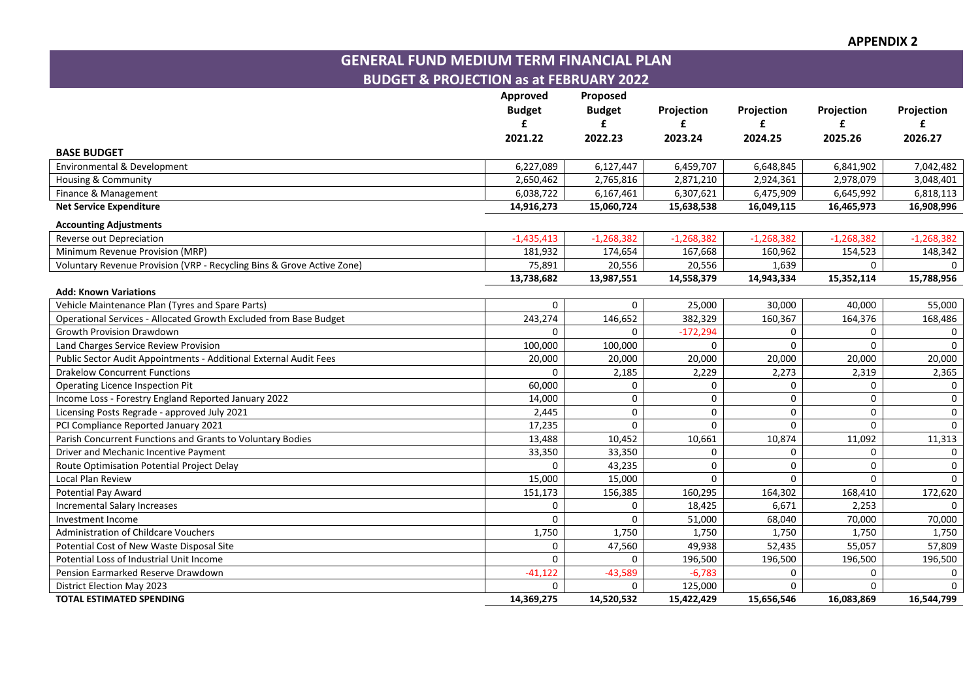**APPENDIX 2**

**GENERAL FUND MEDIUM TERM FINANCIAL PLAN BUDGET & PROJECTION as at FEBRUARY 2022**

|                                                                        | Approved<br><b>Budget</b> | Proposed<br><b>Budget</b> | Projection   | Projection   | Projection   | Projection   |
|------------------------------------------------------------------------|---------------------------|---------------------------|--------------|--------------|--------------|--------------|
|                                                                        |                           | £                         | £            | £            | £            |              |
|                                                                        | 2021.22                   | 2022.23                   | 2023.24      | 2024.25      | 2025.26      | 2026.27      |
| <b>BASE BUDGET</b>                                                     |                           |                           |              |              |              |              |
| Environmental & Development                                            | 6,227,089                 | 6,127,447                 | 6,459,707    | 6,648,845    | 6,841,902    | 7,042,482    |
| Housing & Community                                                    | 2,650,462                 | 2,765,816                 | 2,871,210    | 2,924,361    | 2,978,079    | 3,048,401    |
| Finance & Management                                                   | 6,038,722                 | 6,167,461                 | 6,307,621    | 6,475,909    | 6,645,992    | 6,818,113    |
| <b>Net Service Expenditure</b>                                         | 14,916,273                | 15,060,724                | 15,638,538   | 16,049,115   | 16,465,973   | 16,908,996   |
| <b>Accounting Adjustments</b>                                          |                           |                           |              |              |              |              |
| Reverse out Depreciation                                               | $-1,435,413$              | $-1,268,382$              | $-1,268,382$ | $-1,268,382$ | $-1,268,382$ | $-1,268,382$ |
| Minimum Revenue Provision (MRP)                                        | 181,932                   | 174,654                   | 167,668      | 160,962      | 154,523      | 148,342      |
| Voluntary Revenue Provision (VRP - Recycling Bins & Grove Active Zone) | 75,891                    | 20,556                    | 20,556       | 1,639        | 0            | $\Omega$     |
|                                                                        | 13,738,682                | 13,987,551                | 14,558,379   | 14,943,334   | 15,352,114   | 15,788,956   |
| <b>Add: Known Variations</b>                                           |                           |                           |              |              |              |              |
| Vehicle Maintenance Plan (Tyres and Spare Parts)                       | $\Omega$                  | $\Omega$                  | 25,000       | 30,000       | 40,000       | 55,000       |
| Operational Services - Allocated Growth Excluded from Base Budget      | 243,274                   | 146,652                   | 382,329      | 160,367      | 164,376      | 168,486      |
| <b>Growth Provision Drawdown</b>                                       | $\Omega$                  | $\Omega$                  | $-172,294$   | $\Omega$     | $\Omega$     | 0            |
| Land Charges Service Review Provision                                  | 100,000                   | 100,000                   | $\mathbf{0}$ | $\Omega$     | $\Omega$     | $\mathsf{O}$ |
| Public Sector Audit Appointments - Additional External Audit Fees      | 20,000                    | 20,000                    | 20,000       | 20,000       | 20,000       | 20,000       |
| <b>Drakelow Concurrent Functions</b>                                   | $\Omega$                  | 2,185                     | 2,229        | 2,273        | 2,319        | 2,365        |
| Operating Licence Inspection Pit                                       | 60,000                    | 0                         | 0            | 0            | 0            | 0            |
| Income Loss - Forestry England Reported January 2022                   | 14,000                    | $\mathbf 0$               | 0            | $\mathbf 0$  | 0            | 0            |
| Licensing Posts Regrade - approved July 2021                           | 2,445                     | $\mathbf 0$               | $\mathsf 0$  | $\Omega$     | 0            | $\mathsf 0$  |
| PCI Compliance Reported January 2021                                   | 17,235                    | $\Omega$                  | $\mathbf{0}$ | $\Omega$     | $\Omega$     | $\Omega$     |
| Parish Concurrent Functions and Grants to Voluntary Bodies             | 13,488                    | 10,452                    | 10,661       | 10,874       | 11,092       | 11,313       |
| Driver and Mechanic Incentive Payment                                  | 33,350                    | 33,350                    | $\mathbf 0$  | $\Omega$     | 0            | $\mathbf 0$  |
| Route Optimisation Potential Project Delay                             | $\Omega$                  | 43,235                    | $\mathsf 0$  | $\mathbf 0$  | 0            | 0            |
| Local Plan Review                                                      | 15,000                    | 15,000                    | $\mathbf 0$  | $\Omega$     | 0            | $\mathbf 0$  |
| <b>Potential Pay Award</b>                                             | 151,173                   | 156,385                   | 160,295      | 164,302      | 168,410      | 172,620      |
| <b>Incremental Salary Increases</b>                                    | $\mathbf 0$               | $\Omega$                  | 18,425       | 6,671        | 2,253        | $\Omega$     |
| Investment Income                                                      | $\Omega$                  | $\Omega$                  | 51,000       | 68,040       | 70,000       | 70,000       |
| Administration of Childcare Vouchers                                   | 1,750                     | 1,750                     | 1,750        | 1,750        | 1,750        | 1,750        |
| Potential Cost of New Waste Disposal Site                              | $\mathbf 0$               | 47,560                    | 49,938       | 52,435       | 55,057       | 57,809       |
| Potential Loss of Industrial Unit Income                               | $\Omega$                  | 0                         | 196,500      | 196,500      | 196,500      | 196,500      |
| Pension Earmarked Reserve Drawdown                                     | $-41,122$                 | $-43,589$                 | $-6,783$     | 0            | 0            | 0            |
| District Election May 2023                                             | 0                         | 0                         | 125,000      | 0            | 0            | 0            |
| <b>TOTAL ESTIMATED SPENDING</b>                                        | 14,369,275                | 14,520,532                | 15,422,429   | 15,656,546   | 16,083,869   | 16,544,799   |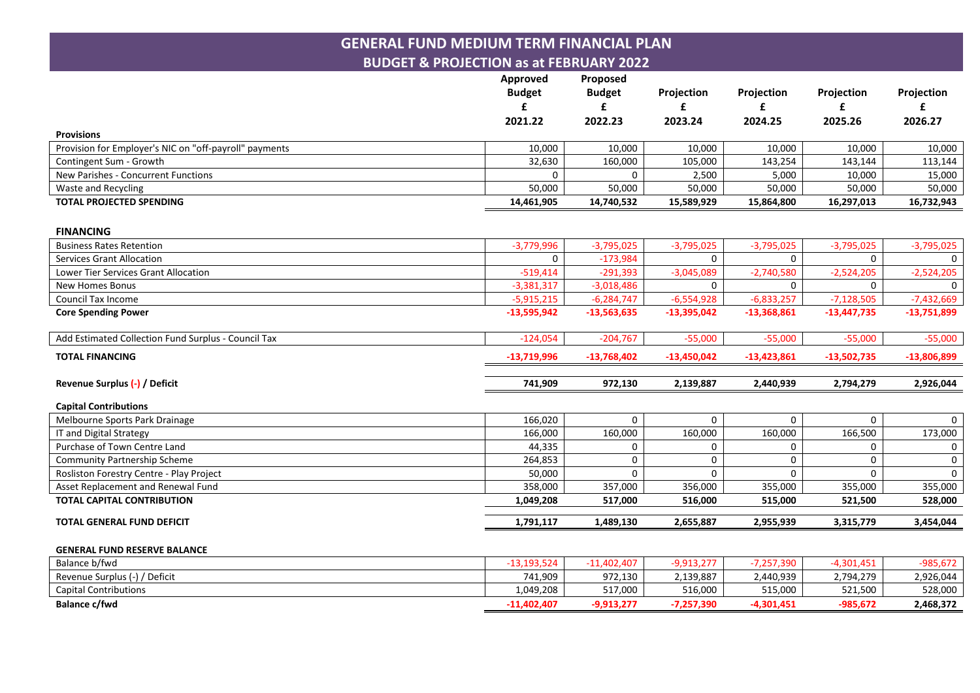## **GENERAL FUND MEDIUM TERM FINANCIAL PLAN BUDGET & PROJECTION as at FEBRUARY 2022**

|                                                        | Approved<br><b>Budget</b><br>£ | Proposed<br><b>Budget</b><br>£ | Projection<br>£ | Projection<br>£ | Projection<br>£ | Projection<br>£ |
|--------------------------------------------------------|--------------------------------|--------------------------------|-----------------|-----------------|-----------------|-----------------|
|                                                        | 2021.22                        | 2022.23                        | 2023.24         | 2024.25         | 2025.26         | 2026.27         |
| <b>Provisions</b>                                      |                                |                                |                 |                 |                 |                 |
| Provision for Employer's NIC on "off-payroll" payments | 10,000                         | 10,000                         | 10,000          | 10,000          | 10,000          | 10,000          |
| Contingent Sum - Growth                                | 32,630                         | 160,000                        | 105,000         | 143,254         | 143,144         | 113,144         |
| New Parishes - Concurrent Functions                    | 0                              | 0                              | 2,500           | 5,000           | 10,000          | 15,000          |
| Waste and Recycling                                    | 50,000                         | 50,000                         | 50,000          | 50,000          | 50,000          | 50,000          |
| <b>TOTAL PROJECTED SPENDING</b>                        | 14,461,905                     | 14,740,532                     | 15,589,929      | 15,864,800      | 16,297,013      | 16,732,943      |
| <b>FINANCING</b>                                       |                                |                                |                 |                 |                 |                 |
| <b>Business Rates Retention</b>                        | $-3,779,996$                   | $-3,795,025$                   | $-3,795,025$    | $-3,795,025$    | $-3,795,025$    | $-3,795,025$    |
| <b>Services Grant Allocation</b>                       | 0                              | $-173,984$                     | $\mathbf 0$     | $\mathbf 0$     | $\mathbf 0$     | $\mathbf 0$     |
| Lower Tier Services Grant Allocation                   | $-519,414$                     | $-291,393$                     | $-3,045,089$    | $-2,740,580$    | $-2,524,205$    | $-2,524,205$    |
| New Homes Bonus                                        | $-3,381,317$                   | $-3,018,486$                   | $\Omega$        | $\Omega$        | $\Omega$        | $\Omega$        |
| Council Tax Income                                     | $-5,915,215$                   | $-6,284,747$                   | $-6,554,928$    | $-6,833,257$    | $-7,128,505$    | $-7,432,669$    |
| <b>Core Spending Power</b>                             | $-13,595,942$                  | $-13,563,635$                  | $-13,395,042$   | $-13,368,861$   | $-13,447,735$   | $-13,751,899$   |
| Add Estimated Collection Fund Surplus - Council Tax    | $-124,054$                     | $-204,767$                     | $-55,000$       | $-55,000$       | $-55,000$       | $-55,000$       |
| <b>TOTAL FINANCING</b>                                 | $-13,719,996$                  | $-13,768,402$                  | $-13,450,042$   | $-13,423,861$   | $-13,502,735$   | $-13,806,899$   |
| Revenue Surplus (-) / Deficit                          | 741,909                        | 972,130                        | 2,139,887       | 2,440,939       | 2,794,279       | 2,926,044       |
| <b>Capital Contributions</b>                           |                                |                                |                 |                 |                 |                 |
| Melbourne Sports Park Drainage                         | 166,020                        | 0                              | $\mathbf 0$     | $\mathbf 0$     | 0               | $\mathbf{0}$    |
| IT and Digital Strategy                                | 166,000                        | 160,000                        | 160,000         | 160,000         | 166,500         | 173,000         |
| Purchase of Town Centre Land                           | 44,335                         | 0                              | 0               | 0               | 0               | 0               |
| <b>Community Partnership Scheme</b>                    | 264,853                        | $\Omega$                       | $\mathbf 0$     | $\Omega$        | $\Omega$        | 0               |
| Rosliston Forestry Centre - Play Project               | 50,000                         | $\Omega$                       | $\Omega$        | $\Omega$        | $\Omega$        | $\mathsf{O}$    |
| Asset Replacement and Renewal Fund                     | 358,000                        | 357,000                        | 356,000         | 355,000         | 355,000         | 355,000         |
| <b>TOTAL CAPITAL CONTRIBUTION</b>                      | 1,049,208                      | 517,000                        | 516,000         | 515,000         | 521,500         | 528,000         |
| <b>TOTAL GENERAL FUND DEFICIT</b>                      | 1,791,117                      | 1,489,130                      | 2,655,887       | 2,955,939       | 3,315,779       | 3,454,044       |
| <b>GENERAL FUND RESERVE BALANCE</b>                    |                                |                                |                 |                 |                 |                 |
| Balance b/fwd                                          | $-13,193,524$                  | $-11,402,407$                  | $-9,913,277$    | $-7,257,390$    | $-4,301,451$    | $-985,672$      |
| Revenue Surplus (-) / Deficit                          | 741,909                        | 972,130                        | 2,139,887       | 2,440,939       | 2,794,279       | 2,926,044       |
| <b>Capital Contributions</b>                           | 1,049,208                      | 517,000                        | 516,000         | 515,000         | 521,500         | 528,000         |
| <b>Balance c/fwd</b>                                   | $-11,402,407$                  | $-9,913,277$                   | $-7,257,390$    | $-4,301,451$    | $-985,672$      | 2,468,372       |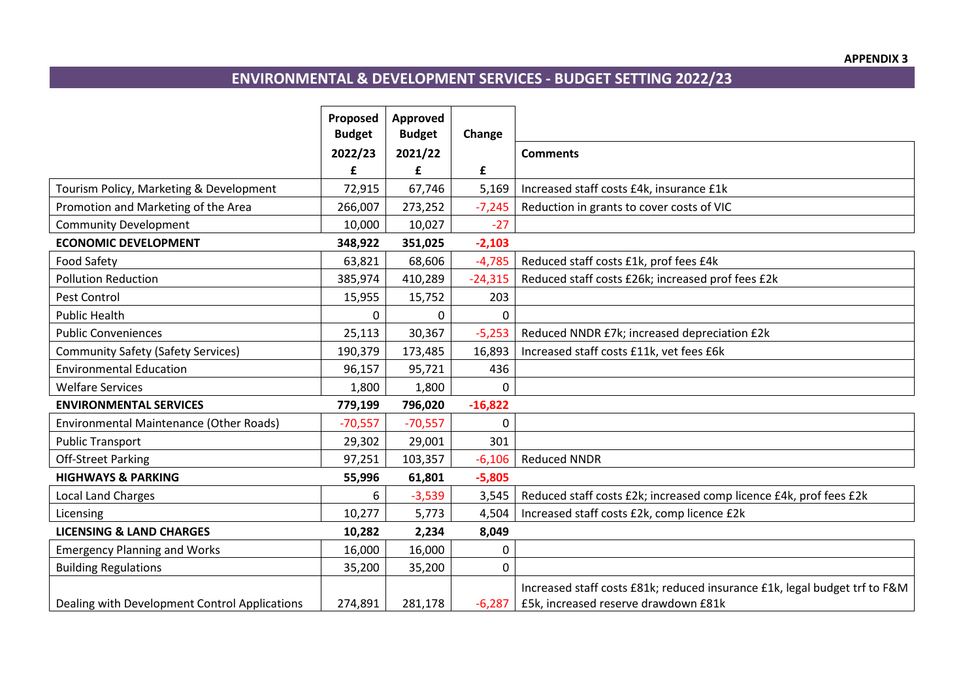# **ENVIRONMENTAL & DEVELOPMENT SERVICES - BUDGET SETTING 2022/23**

|                                               | Proposed<br><b>Budget</b> | Approved<br><b>Budget</b> | Change       |                                                                            |
|-----------------------------------------------|---------------------------|---------------------------|--------------|----------------------------------------------------------------------------|
|                                               | 2022/23                   | 2021/22                   |              | <b>Comments</b>                                                            |
|                                               | £                         | £                         | £            |                                                                            |
| Tourism Policy, Marketing & Development       | 72,915                    | 67,746                    | 5,169        | Increased staff costs £4k, insurance £1k                                   |
| Promotion and Marketing of the Area           | 266,007                   | 273,252                   | $-7,245$     | Reduction in grants to cover costs of VIC                                  |
| <b>Community Development</b>                  | 10,000                    | 10,027                    | $-27$        |                                                                            |
| <b>ECONOMIC DEVELOPMENT</b>                   | 348,922                   | 351,025                   | $-2,103$     |                                                                            |
| <b>Food Safety</b>                            | 63,821                    | 68,606                    | $-4,785$     | Reduced staff costs £1k, prof fees £4k                                     |
| <b>Pollution Reduction</b>                    | 385,974                   | 410,289                   | $-24,315$    | Reduced staff costs £26k; increased prof fees £2k                          |
| Pest Control                                  | 15,955                    | 15,752                    | 203          |                                                                            |
| <b>Public Health</b>                          | $\Omega$                  | $\Omega$                  | 0            |                                                                            |
| <b>Public Conveniences</b>                    | 25,113                    | 30,367                    | $-5,253$     | Reduced NNDR £7k; increased depreciation £2k                               |
| <b>Community Safety (Safety Services)</b>     | 190,379                   | 173,485                   | 16,893       | Increased staff costs £11k, vet fees £6k                                   |
| <b>Environmental Education</b>                | 96,157                    | 95,721                    | 436          |                                                                            |
| <b>Welfare Services</b>                       | 1,800                     | 1,800                     | 0            |                                                                            |
| <b>ENVIRONMENTAL SERVICES</b>                 | 779,199                   | 796,020                   | $-16,822$    |                                                                            |
| Environmental Maintenance (Other Roads)       | $-70,557$                 | $-70,557$                 | $\mathbf{0}$ |                                                                            |
| <b>Public Transport</b>                       | 29,302                    | 29,001                    | 301          |                                                                            |
| <b>Off-Street Parking</b>                     | 97,251                    | 103,357                   | $-6,106$     | <b>Reduced NNDR</b>                                                        |
| <b>HIGHWAYS &amp; PARKING</b>                 | 55,996                    | 61,801                    | $-5,805$     |                                                                            |
| <b>Local Land Charges</b>                     | 6                         | $-3,539$                  | 3,545        | Reduced staff costs £2k; increased comp licence £4k, prof fees £2k         |
| Licensing                                     | 10,277                    | 5,773                     | 4,504        | Increased staff costs £2k, comp licence £2k                                |
| <b>LICENSING &amp; LAND CHARGES</b>           | 10,282                    | 2,234                     | 8,049        |                                                                            |
| <b>Emergency Planning and Works</b>           | 16,000                    | 16,000                    | 0            |                                                                            |
| <b>Building Regulations</b>                   | 35,200                    | 35,200                    | 0            |                                                                            |
|                                               |                           |                           |              | Increased staff costs £81k; reduced insurance £1k, legal budget trf to F&M |
| Dealing with Development Control Applications | 274,891                   | 281,178                   | $-6,287$     | £5k, increased reserve drawdown £81k                                       |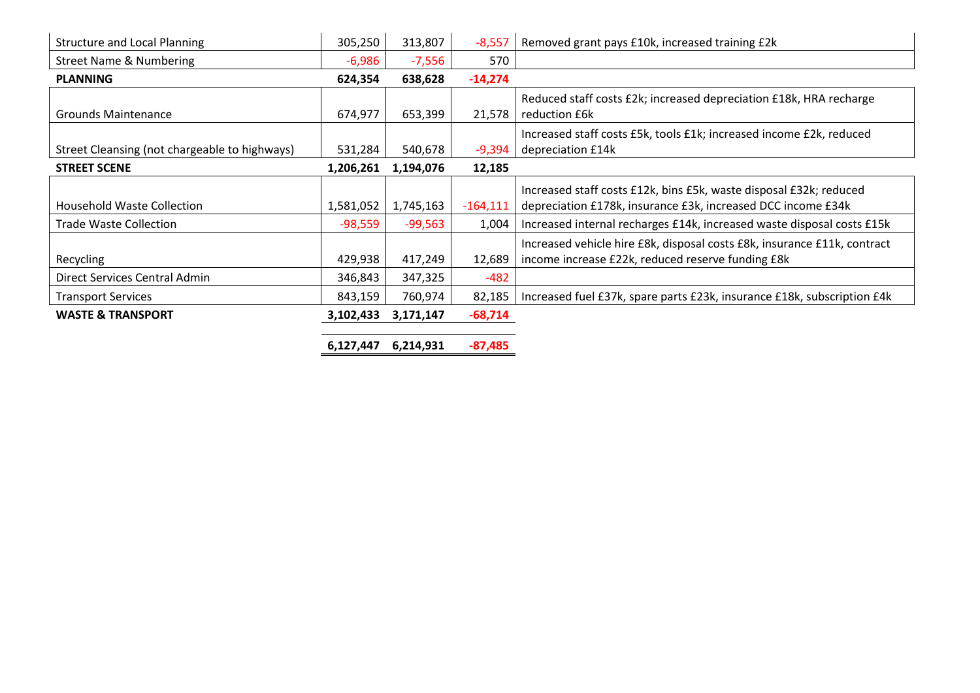| <b>Structure and Local Planning</b>           | 305,250   | 313,807   | $-8,557$   | Removed grant pays £10k, increased training £2k                          |
|-----------------------------------------------|-----------|-----------|------------|--------------------------------------------------------------------------|
| <b>Street Name &amp; Numbering</b>            | $-6,986$  | $-7,556$  | 570        |                                                                          |
| <b>PLANNING</b>                               | 624,354   | 638,628   | $-14,274$  |                                                                          |
|                                               |           |           |            | Reduced staff costs £2k; increased depreciation £18k, HRA recharge       |
| <b>Grounds Maintenance</b>                    | 674,977   | 653,399   | 21,578     | reduction £6k                                                            |
|                                               |           |           |            | Increased staff costs £5k, tools £1k; increased income £2k, reduced      |
| Street Cleansing (not chargeable to highways) | 531,284   | 540,678   | $-9,394$   | depreciation £14k                                                        |
| <b>STREET SCENE</b>                           | 1,206,261 | 1,194,076 | 12,185     |                                                                          |
|                                               |           |           |            | Increased staff costs £12k, bins £5k, waste disposal £32k; reduced       |
| <b>Household Waste Collection</b>             | 1,581,052 | 1,745,163 | $-164,111$ | depreciation £178k, insurance £3k, increased DCC income £34k             |
| <b>Trade Waste Collection</b>                 | $-98,559$ | $-99,563$ | 1,004      | Increased internal recharges £14k, increased waste disposal costs £15k   |
|                                               |           |           |            | Increased vehicle hire £8k, disposal costs £8k, insurance £11k, contract |
| Recycling                                     | 429,938   | 417,249   | 12,689     | income increase £22k, reduced reserve funding £8k                        |
| Direct Services Central Admin                 | 346,843   | 347,325   | $-482$     |                                                                          |
| <b>Transport Services</b>                     | 843,159   | 760,974   | 82,185     | Increased fuel £37k, spare parts £23k, insurance £18k, subscription £4k  |
| <b>WASTE &amp; TRANSPORT</b>                  | 3,102,433 | 3,171,147 | $-68,714$  |                                                                          |
|                                               |           |           |            |                                                                          |
|                                               | 6,127,447 | 6,214,931 | $-87,485$  |                                                                          |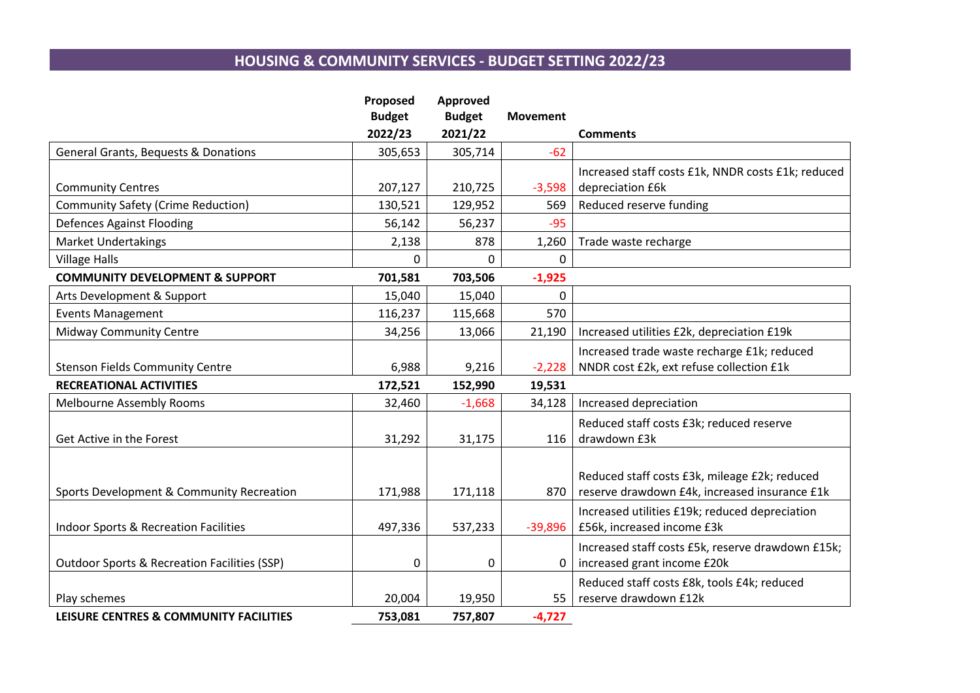# **HOUSING & COMMUNITY SERVICES - BUDGET SETTING 2022/23**

|                                                         | Proposed      | Approved      |                 |                                                    |
|---------------------------------------------------------|---------------|---------------|-----------------|----------------------------------------------------|
|                                                         | <b>Budget</b> | <b>Budget</b> | <b>Movement</b> |                                                    |
|                                                         | 2022/23       | 2021/22       |                 | <b>Comments</b>                                    |
| <b>General Grants, Bequests &amp; Donations</b>         | 305,653       | 305,714       | $-62$           |                                                    |
|                                                         |               |               |                 | Increased staff costs £1k, NNDR costs £1k; reduced |
| <b>Community Centres</b>                                | 207,127       | 210,725       | $-3,598$        | depreciation £6k                                   |
| <b>Community Safety (Crime Reduction)</b>               | 130,521       | 129,952       | 569             | Reduced reserve funding                            |
| <b>Defences Against Flooding</b>                        | 56,142        | 56,237        | $-95$           |                                                    |
| <b>Market Undertakings</b>                              | 2,138         | 878           | 1,260           | Trade waste recharge                               |
| <b>Village Halls</b>                                    | $\Omega$      | $\Omega$      | 0               |                                                    |
| <b>COMMUNITY DEVELOPMENT &amp; SUPPORT</b>              | 701,581       | 703,506       | $-1,925$        |                                                    |
| Arts Development & Support                              | 15,040        | 15,040        | 0               |                                                    |
| <b>Events Management</b>                                | 116,237       | 115,668       | 570             |                                                    |
| <b>Midway Community Centre</b>                          | 34,256        | 13,066        | 21,190          | Increased utilities £2k, depreciation £19k         |
|                                                         |               |               |                 | Increased trade waste recharge £1k; reduced        |
| <b>Stenson Fields Community Centre</b>                  | 6,988         | 9,216         | $-2,228$        | NNDR cost £2k, ext refuse collection £1k           |
| <b>RECREATIONAL ACTIVITIES</b>                          | 172,521       | 152,990       | 19,531          |                                                    |
| <b>Melbourne Assembly Rooms</b>                         | 32,460        | $-1,668$      | 34,128          | Increased depreciation                             |
|                                                         |               |               |                 | Reduced staff costs £3k; reduced reserve           |
| Get Active in the Forest                                | 31,292        | 31,175        | 116             | drawdown £3k                                       |
|                                                         |               |               |                 |                                                    |
|                                                         |               |               |                 | Reduced staff costs £3k, mileage £2k; reduced      |
| Sports Development & Community Recreation               | 171,988       | 171,118       | 870             | reserve drawdown £4k, increased insurance £1k      |
|                                                         |               |               |                 | Increased utilities £19k; reduced depreciation     |
| <b>Indoor Sports &amp; Recreation Facilities</b>        | 497,336       | 537,233       | $-39,896$       | £56k, increased income £3k                         |
|                                                         |               |               |                 | Increased staff costs £5k, reserve drawdown £15k;  |
| <b>Outdoor Sports &amp; Recreation Facilities (SSP)</b> | $\mathbf 0$   | 0             | 0               | increased grant income £20k                        |
|                                                         |               |               |                 | Reduced staff costs £8k, tools £4k; reduced        |
| Play schemes                                            | 20,004        | 19,950        | 55              | reserve drawdown £12k                              |
| LEISURE CENTRES & COMMUNITY FACILITIES                  | 753,081       | 757,807       | $-4,727$        |                                                    |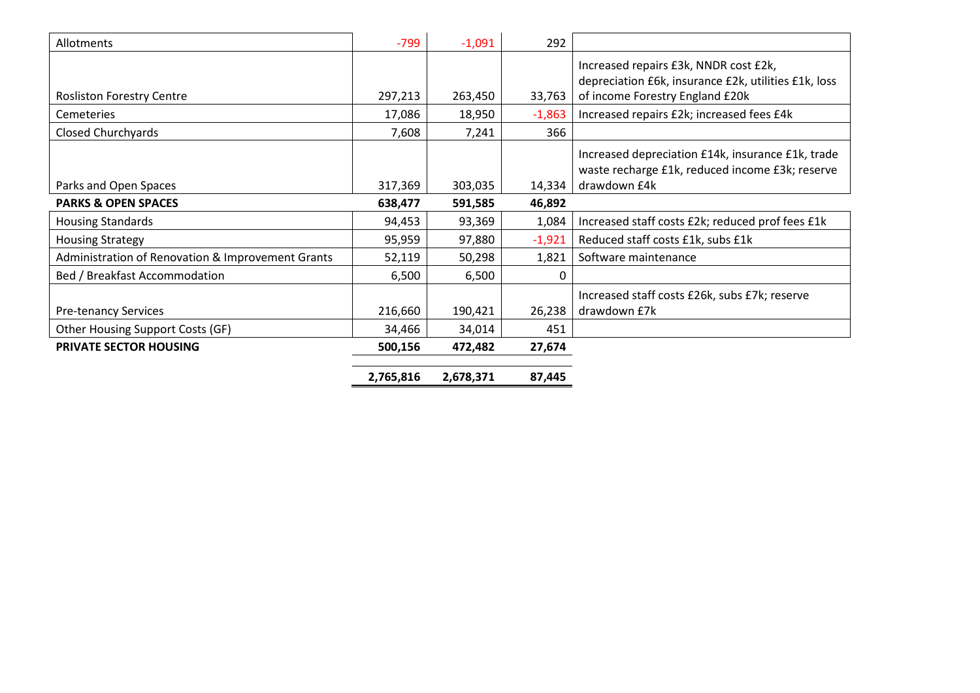| Allotments                                        | $-799$    | $-1,091$  | 292      |                                                                                                      |
|---------------------------------------------------|-----------|-----------|----------|------------------------------------------------------------------------------------------------------|
|                                                   |           |           |          | Increased repairs £3k, NNDR cost £2k,<br>depreciation £6k, insurance £2k, utilities £1k, loss        |
| <b>Rosliston Forestry Centre</b>                  | 297,213   | 263,450   | 33,763   | of income Forestry England £20k                                                                      |
| <b>Cemeteries</b>                                 | 17,086    | 18,950    | $-1,863$ | Increased repairs £2k; increased fees £4k                                                            |
| Closed Churchyards                                | 7,608     | 7,241     | 366      |                                                                                                      |
|                                                   |           |           |          | Increased depreciation £14k, insurance £1k, trade<br>waste recharge £1k, reduced income £3k; reserve |
| Parks and Open Spaces                             | 317,369   | 303,035   | 14,334   | drawdown £4k                                                                                         |
| <b>PARKS &amp; OPEN SPACES</b>                    | 638,477   | 591,585   | 46,892   |                                                                                                      |
| <b>Housing Standards</b>                          | 94,453    | 93,369    | 1,084    | Increased staff costs £2k; reduced prof fees £1k                                                     |
| <b>Housing Strategy</b>                           | 95,959    | 97,880    | $-1,921$ | Reduced staff costs £1k, subs £1k                                                                    |
| Administration of Renovation & Improvement Grants | 52,119    | 50,298    | 1,821    | Software maintenance                                                                                 |
| Bed / Breakfast Accommodation                     | 6,500     | 6,500     | 0        |                                                                                                      |
|                                                   |           |           |          | Increased staff costs £26k, subs £7k; reserve                                                        |
| <b>Pre-tenancy Services</b>                       | 216,660   | 190,421   | 26,238   | drawdown £7k                                                                                         |
| Other Housing Support Costs (GF)                  | 34,466    | 34,014    | 451      |                                                                                                      |
| PRIVATE SECTOR HOUSING                            | 500,156   | 472,482   | 27,674   |                                                                                                      |
|                                                   | 2,765,816 | 2,678,371 | 87,445   |                                                                                                      |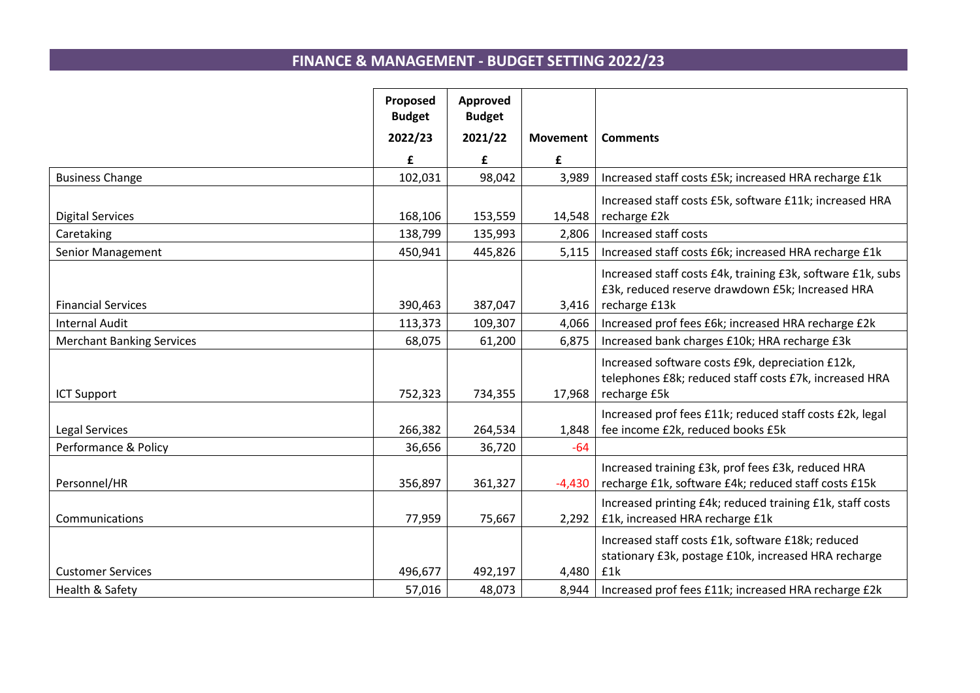# **FINANCE & MANAGEMENT - BUDGET SETTING 2022/23**

|                                  | Proposed<br><b>Budget</b> | Approved<br><b>Budget</b> |                 |                                                             |
|----------------------------------|---------------------------|---------------------------|-----------------|-------------------------------------------------------------|
|                                  | 2022/23                   | 2021/22                   | <b>Movement</b> | <b>Comments</b>                                             |
|                                  | £                         | £                         | £               |                                                             |
| <b>Business Change</b>           | 102,031                   | 98,042                    | 3,989           | Increased staff costs £5k; increased HRA recharge £1k       |
|                                  |                           |                           |                 | Increased staff costs £5k, software £11k; increased HRA     |
| <b>Digital Services</b>          | 168,106                   | 153,559                   | 14,548          | recharge £2k                                                |
| Caretaking                       | 138,799                   | 135,993                   | 2,806           | Increased staff costs                                       |
| Senior Management                | 450,941                   | 445,826                   | 5,115           | Increased staff costs £6k; increased HRA recharge £1k       |
|                                  |                           |                           |                 | Increased staff costs £4k, training £3k, software £1k, subs |
|                                  |                           |                           |                 | £3k, reduced reserve drawdown £5k; Increased HRA            |
| <b>Financial Services</b>        | 390,463                   | 387,047                   | 3,416           | recharge £13k                                               |
| <b>Internal Audit</b>            | 113,373                   | 109,307                   | 4,066           | Increased prof fees £6k; increased HRA recharge £2k         |
| <b>Merchant Banking Services</b> | 68,075                    | 61,200                    | 6,875           | Increased bank charges £10k; HRA recharge £3k               |
|                                  |                           |                           |                 | Increased software costs £9k, depreciation £12k,            |
|                                  |                           |                           |                 | telephones £8k; reduced staff costs £7k, increased HRA      |
| <b>ICT Support</b>               | 752,323                   | 734,355                   | 17,968          | recharge £5k                                                |
|                                  |                           |                           |                 | Increased prof fees £11k; reduced staff costs £2k, legal    |
| Legal Services                   | 266,382                   | 264,534                   | 1,848           | fee income £2k, reduced books £5k                           |
| Performance & Policy             | 36,656                    | 36,720                    | $-64$           |                                                             |
|                                  |                           |                           |                 | Increased training £3k, prof fees £3k, reduced HRA          |
| Personnel/HR                     | 356,897                   | 361,327                   | $-4,430$        | recharge £1k, software £4k; reduced staff costs £15k        |
|                                  |                           |                           |                 | Increased printing £4k; reduced training £1k, staff costs   |
| Communications                   | 77,959                    | 75,667                    | 2,292           | £1k, increased HRA recharge £1k                             |
|                                  |                           |                           |                 | Increased staff costs £1k, software £18k; reduced           |
|                                  |                           |                           |                 | stationary £3k, postage £10k, increased HRA recharge        |
| <b>Customer Services</b>         | 496,677                   | 492,197                   | 4,480           | £1k                                                         |
| Health & Safety                  | 57,016                    | 48,073                    | 8,944           | Increased prof fees £11k; increased HRA recharge £2k        |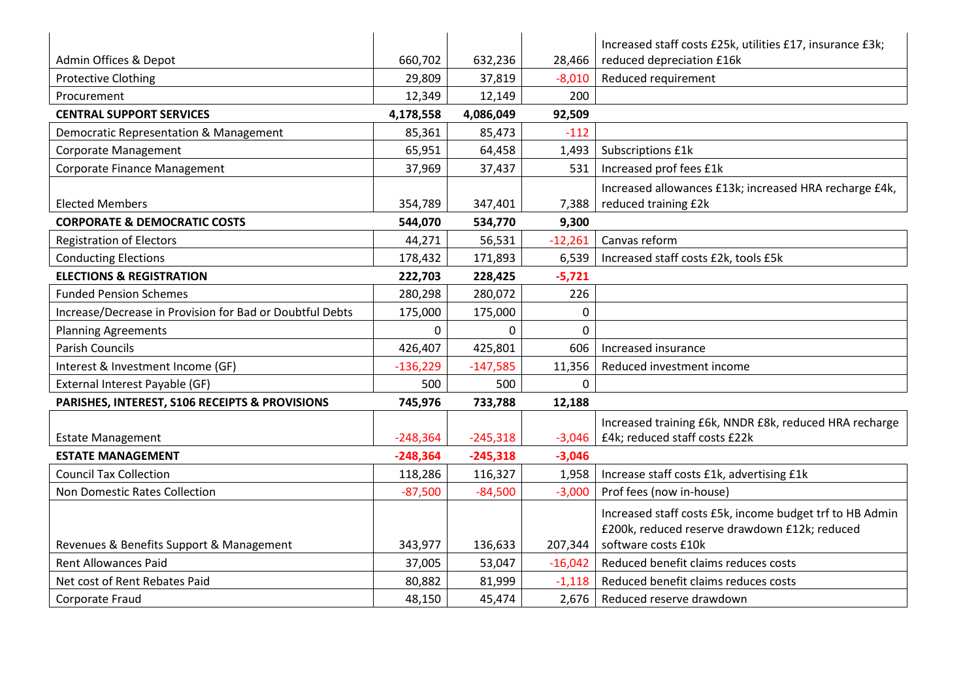|                                                          |            |            |             | Increased staff costs £25k, utilities £17, insurance £3k; |
|----------------------------------------------------------|------------|------------|-------------|-----------------------------------------------------------|
| Admin Offices & Depot                                    | 660,702    | 632,236    | 28,466      | reduced depreciation £16k                                 |
| <b>Protective Clothing</b>                               | 29,809     | 37,819     | $-8,010$    | Reduced requirement                                       |
| Procurement                                              | 12,349     | 12,149     | 200         |                                                           |
| <b>CENTRAL SUPPORT SERVICES</b>                          | 4,178,558  | 4,086,049  | 92,509      |                                                           |
| Democratic Representation & Management                   | 85,361     | 85,473     | $-112$      |                                                           |
| <b>Corporate Management</b>                              | 65,951     | 64,458     | 1,493       | Subscriptions £1k                                         |
| <b>Corporate Finance Management</b>                      | 37,969     | 37,437     | 531         | Increased prof fees £1k                                   |
|                                                          |            |            |             | Increased allowances £13k; increased HRA recharge £4k,    |
| <b>Elected Members</b>                                   | 354,789    | 347,401    | 7,388       | reduced training £2k                                      |
| <b>CORPORATE &amp; DEMOCRATIC COSTS</b>                  | 544,070    | 534,770    | 9,300       |                                                           |
| <b>Registration of Electors</b>                          | 44,271     | 56,531     | $-12,261$   | Canvas reform                                             |
| <b>Conducting Elections</b>                              | 178,432    | 171,893    | 6,539       | Increased staff costs £2k, tools £5k                      |
| <b>ELECTIONS &amp; REGISTRATION</b>                      | 222,703    | 228,425    | $-5,721$    |                                                           |
| <b>Funded Pension Schemes</b>                            | 280,298    | 280,072    | 226         |                                                           |
| Increase/Decrease in Provision for Bad or Doubtful Debts | 175,000    | 175,000    | 0           |                                                           |
| <b>Planning Agreements</b>                               | 0          | 0          | $\mathbf 0$ |                                                           |
| <b>Parish Councils</b>                                   | 426,407    | 425,801    | 606         | Increased insurance                                       |
| Interest & Investment Income (GF)                        | $-136,229$ | $-147,585$ | 11,356      | Reduced investment income                                 |
| External Interest Payable (GF)                           | 500        | 500        | $\mathbf 0$ |                                                           |
| PARISHES, INTEREST, S106 RECEIPTS & PROVISIONS           | 745,976    | 733,788    | 12,188      |                                                           |
|                                                          |            |            |             | Increased training £6k, NNDR £8k, reduced HRA recharge    |
| <b>Estate Management</b>                                 | $-248,364$ | $-245,318$ | $-3,046$    | £4k; reduced staff costs £22k                             |
| <b>ESTATE MANAGEMENT</b>                                 | $-248,364$ | $-245,318$ | $-3,046$    |                                                           |
| <b>Council Tax Collection</b>                            | 118,286    | 116,327    | 1,958       | Increase staff costs £1k, advertising £1k                 |
| Non Domestic Rates Collection                            | $-87,500$  | $-84,500$  | $-3,000$    | Prof fees (now in-house)                                  |
|                                                          |            |            |             | Increased staff costs £5k, income budget trf to HB Admin  |
|                                                          |            |            |             | £200k, reduced reserve drawdown £12k; reduced             |
| Revenues & Benefits Support & Management                 | 343,977    | 136,633    | 207,344     | software costs £10k                                       |
| <b>Rent Allowances Paid</b>                              | 37,005     | 53,047     | $-16,042$   | Reduced benefit claims reduces costs                      |
| Net cost of Rent Rebates Paid                            | 80,882     | 81,999     | $-1,118$    | Reduced benefit claims reduces costs                      |
| Corporate Fraud                                          | 48,150     | 45,474     | 2,676       | Reduced reserve drawdown                                  |